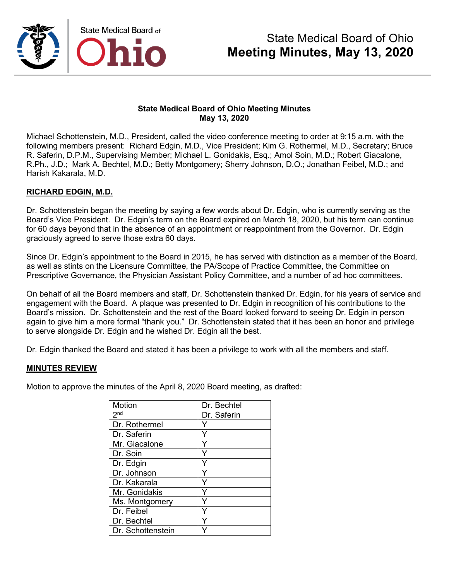

Michael Schottenstein, M.D., President, called the video conference meeting to order at 9:15 a.m. with the following members present: Richard Edgin, M.D., Vice President; Kim G. Rothermel, M.D., Secretary; Bruce R. Saferin, D.P.M., Supervising Member; Michael L. Gonidakis, Esq.; Amol Soin, M.D.; Robert Giacalone, R.Ph., J.D.; Mark A. Bechtel, M.D.; Betty Montgomery; Sherry Johnson, D.O.; Jonathan Feibel, M.D.; and Harish Kakarala, M.D.

### **RICHARD EDGIN, M.D.**

Dr. Schottenstein began the meeting by saying a few words about Dr. Edgin, who is currently serving as the Board's Vice President. Dr. Edgin's term on the Board expired on March 18, 2020, but his term can continue for 60 days beyond that in the absence of an appointment or reappointment from the Governor. Dr. Edgin graciously agreed to serve those extra 60 days.

Since Dr. Edgin's appointment to the Board in 2015, he has served with distinction as a member of the Board, as well as stints on the Licensure Committee, the PA/Scope of Practice Committee, the Committee on Prescriptive Governance, the Physician Assistant Policy Committee, and a number of ad hoc committees.

On behalf of all the Board members and staff, Dr. Schottenstein thanked Dr. Edgin, for his years of service and engagement with the Board. A plaque was presented to Dr. Edgin in recognition of his contributions to the Board's mission. Dr. Schottenstein and the rest of the Board looked forward to seeing Dr. Edgin in person again to give him a more formal "thank you." Dr. Schottenstein stated that it has been an honor and privilege to serve alongside Dr. Edgin and he wished Dr. Edgin all the best.

Dr. Edgin thanked the Board and stated it has been a privilege to work with all the members and staff.

### **MINUTES REVIEW**

Motion to approve the minutes of the April 8, 2020 Board meeting, as drafted:

| <b>Motion</b>     | Dr. Bechtel |
|-------------------|-------------|
| 2 <sup>nd</sup>   | Dr. Saferin |
| Dr. Rothermel     |             |
| Dr. Saferin       | Y           |
| Mr. Giacalone     | Y           |
| Dr. Soin          |             |
| Dr. Edgin         | Υ           |
| Dr. Johnson       |             |
| Dr. Kakarala      |             |
| Mr. Gonidakis     | Y           |
| Ms. Montgomery    |             |
| Dr. Feibel        |             |
| Dr. Bechtel       |             |
| Dr. Schottenstein |             |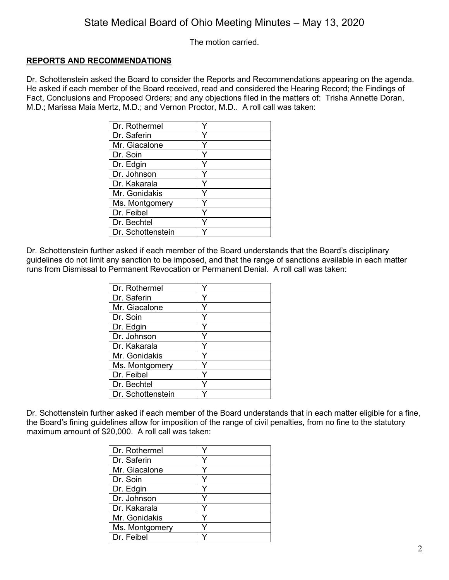The motion carried.

### **REPORTS AND RECOMMENDATIONS**

Dr. Schottenstein asked the Board to consider the Reports and Recommendations appearing on the agenda. He asked if each member of the Board received, read and considered the Hearing Record; the Findings of Fact, Conclusions and Proposed Orders; and any objections filed in the matters of: Trisha Annette Doran, M.D.; Marissa Maia Mertz, M.D.; and Vernon Proctor, M.D.. A roll call was taken:

| Dr. Rothermel     |  |
|-------------------|--|
| Dr. Saferin       |  |
| Mr. Giacalone     |  |
| Dr. Soin          |  |
| Dr. Edgin         |  |
| Dr. Johnson       |  |
| Dr. Kakarala      |  |
| Mr. Gonidakis     |  |
| Ms. Montgomery    |  |
| Dr. Feibel        |  |
| Dr. Bechtel       |  |
| Dr. Schottenstein |  |

Dr. Schottenstein further asked if each member of the Board understands that the Board's disciplinary guidelines do not limit any sanction to be imposed, and that the range of sanctions available in each matter runs from Dismissal to Permanent Revocation or Permanent Denial. A roll call was taken:

| Dr. Rothermel     |   |
|-------------------|---|
| Dr. Saferin       |   |
| Mr. Giacalone     |   |
| Dr. Soin          | ٧ |
| Dr. Edgin         |   |
| Dr. Johnson       |   |
| Dr. Kakarala      |   |
| Mr. Gonidakis     |   |
| Ms. Montgomery    |   |
| Dr. Feibel        |   |
| Dr. Bechtel       |   |
| Dr. Schottenstein |   |

Dr. Schottenstein further asked if each member of the Board understands that in each matter eligible for a fine, the Board's fining guidelines allow for imposition of the range of civil penalties, from no fine to the statutory maximum amount of \$20,000. A roll call was taken:

| Dr. Rothermel  |  |
|----------------|--|
| Dr. Saferin    |  |
| Mr. Giacalone  |  |
| Dr. Soin       |  |
| Dr. Edgin      |  |
| Dr. Johnson    |  |
| Dr. Kakarala   |  |
| Mr. Gonidakis  |  |
| Ms. Montgomery |  |
| Dr. Feibel     |  |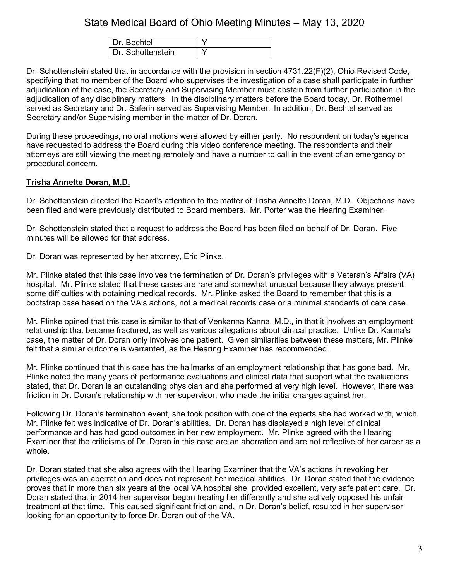| <b>Bechtel</b>    |  |
|-------------------|--|
| Dr. Schottenstein |  |

Dr. Schottenstein stated that in accordance with the provision in section 4731.22(F)(2), Ohio Revised Code, specifying that no member of the Board who supervises the investigation of a case shall participate in further adjudication of the case, the Secretary and Supervising Member must abstain from further participation in the adjudication of any disciplinary matters. In the disciplinary matters before the Board today, Dr. Rothermel served as Secretary and Dr. Saferin served as Supervising Member. In addition, Dr. Bechtel served as Secretary and/or Supervising member in the matter of Dr. Doran.

During these proceedings, no oral motions were allowed by either party. No respondent on today's agenda have requested to address the Board during this video conference meeting. The respondents and their attorneys are still viewing the meeting remotely and have a number to call in the event of an emergency or procedural concern.

### **Trisha Annette Doran, M.D.**

Dr. Schottenstein directed the Board's attention to the matter of Trisha Annette Doran, M.D. Objections have been filed and were previously distributed to Board members. Mr. Porter was the Hearing Examiner.

Dr. Schottenstein stated that a request to address the Board has been filed on behalf of Dr. Doran. Five minutes will be allowed for that address.

Dr. Doran was represented by her attorney, Eric Plinke.

Mr. Plinke stated that this case involves the termination of Dr. Doran's privileges with a Veteran's Affairs (VA) hospital. Mr. Plinke stated that these cases are rare and somewhat unusual because they always present some difficulties with obtaining medical records. Mr. Plinke asked the Board to remember that this is a bootstrap case based on the VA's actions, not a medical records case or a minimal standards of care case.

Mr. Plinke opined that this case is similar to that of Venkanna Kanna, M.D., in that it involves an employment relationship that became fractured, as well as various allegations about clinical practice. Unlike Dr. Kanna's case, the matter of Dr. Doran only involves one patient. Given similarities between these matters, Mr. Plinke felt that a similar outcome is warranted, as the Hearing Examiner has recommended.

Mr. Plinke continued that this case has the hallmarks of an employment relationship that has gone bad. Mr. Plinke noted the many years of performance evaluations and clinical data that support what the evaluations stated, that Dr. Doran is an outstanding physician and she performed at very high level. However, there was friction in Dr. Doran's relationship with her supervisor, who made the initial charges against her.

Following Dr. Doran's termination event, she took position with one of the experts she had worked with, which Mr. Plinke felt was indicative of Dr. Doran's abilities. Dr. Doran has displayed a high level of clinical performance and has had good outcomes in her new employment. Mr. Plinke agreed with the Hearing Examiner that the criticisms of Dr. Doran in this case are an aberration and are not reflective of her career as a whole.

Dr. Doran stated that she also agrees with the Hearing Examiner that the VA's actions in revoking her privileges was an aberration and does not represent her medical abilities. Dr. Doran stated that the evidence proves that in more than six years at the local VA hospital she provided excellent, very safe patient care. Dr. Doran stated that in 2014 her supervisor began treating her differently and she actively opposed his unfair treatment at that time. This caused significant friction and, in Dr. Doran's belief, resulted in her supervisor looking for an opportunity to force Dr. Doran out of the VA.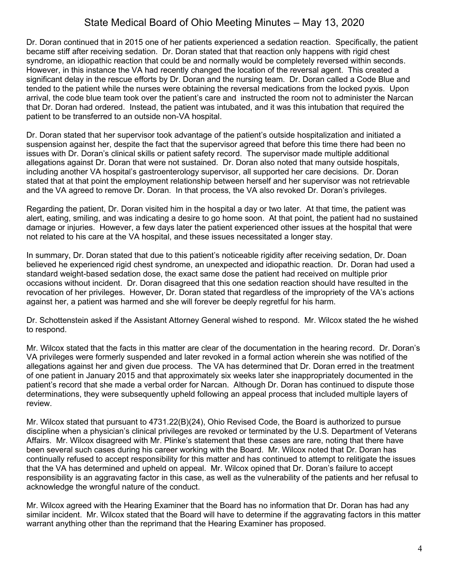Dr. Doran continued that in 2015 one of her patients experienced a sedation reaction. Specifically, the patient became stiff after receiving sedation. Dr. Doran stated that that reaction only happens with rigid chest syndrome, an idiopathic reaction that could be and normally would be completely reversed within seconds. However, in this instance the VA had recently changed the location of the reversal agent. This created a significant delay in the rescue efforts by Dr. Doran and the nursing team. Dr. Doran called a Code Blue and tended to the patient while the nurses were obtaining the reversal medications from the locked pyxis. Upon arrival, the code blue team took over the patient's care and instructed the room not to administer the Narcan that Dr. Doran had ordered. Instead, the patient was intubated, and it was this intubation that required the patient to be transferred to an outside non-VA hospital.

Dr. Doran stated that her supervisor took advantage of the patient's outside hospitalization and initiated a suspension against her, despite the fact that the supervisor agreed that before this time there had been no issues with Dr. Doran's clinical skills or patient safety record. The supervisor made multiple additional allegations against Dr. Doran that were not sustained. Dr. Doran also noted that many outside hospitals, including another VA hospital's gastroenterology supervisor, all supported her care decisions. Dr. Doran stated that at that point the employment relationship between herself and her supervisor was not retrievable and the VA agreed to remove Dr. Doran. In that process, the VA also revoked Dr. Doran's privileges.

Regarding the patient, Dr. Doran visited him in the hospital a day or two later. At that time, the patient was alert, eating, smiling, and was indicating a desire to go home soon. At that point, the patient had no sustained damage or injuries. However, a few days later the patient experienced other issues at the hospital that were not related to his care at the VA hospital, and these issues necessitated a longer stay.

In summary, Dr. Doran stated that due to this patient's noticeable rigidity after receiving sedation, Dr. Doan believed he experienced rigid chest syndrome, an unexpected and idiopathic reaction. Dr. Doran had used a standard weight-based sedation dose, the exact same dose the patient had received on multiple prior occasions without incident. Dr. Doran disagreed that this one sedation reaction should have resulted in the revocation of her privileges. However, Dr. Doran stated that regardless of the impropriety of the VA's actions against her, a patient was harmed and she will forever be deeply regretful for his harm.

Dr. Schottenstein asked if the Assistant Attorney General wished to respond. Mr. Wilcox stated the he wished to respond.

Mr. Wilcox stated that the facts in this matter are clear of the documentation in the hearing record. Dr. Doran's VA privileges were formerly suspended and later revoked in a formal action wherein she was notified of the allegations against her and given due process. The VA has determined that Dr. Doran erred in the treatment of one patient in January 2015 and that approximately six weeks later she inappropriately documented in the patient's record that she made a verbal order for Narcan. Although Dr. Doran has continued to dispute those determinations, they were subsequently upheld following an appeal process that included multiple layers of review.

Mr. Wilcox stated that pursuant to 4731.22(B)(24), Ohio Revised Code, the Board is authorized to pursue discipline when a physician's clinical privileges are revoked or terminated by the U.S. Department of Veterans Affairs. Mr. Wilcox disagreed with Mr. Plinke's statement that these cases are rare, noting that there have been several such cases during his career working with the Board. Mr. Wilcox noted that Dr. Doran has continually refused to accept responsibility for this matter and has continued to attempt to relitigate the issues that the VA has determined and upheld on appeal. Mr. Wilcox opined that Dr. Doran's failure to accept responsibility is an aggravating factor in this case, as well as the vulnerability of the patients and her refusal to acknowledge the wrongful nature of the conduct.

Mr. Wilcox agreed with the Hearing Examiner that the Board has no information that Dr. Doran has had any similar incident. Mr. Wilcox stated that the Board will have to determine if the aggravating factors in this matter warrant anything other than the reprimand that the Hearing Examiner has proposed.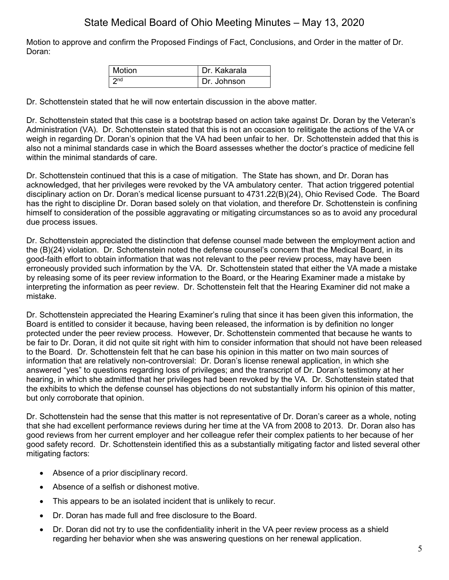Motion to approve and confirm the Proposed Findings of Fact, Conclusions, and Order in the matter of Dr. Doran:

| <b>Motion</b>            | Dr. Kakarala |
|--------------------------|--------------|
| $\boldsymbol{\gamma}$ nd | Dr. Johnson  |

Dr. Schottenstein stated that he will now entertain discussion in the above matter.

Dr. Schottenstein stated that this case is a bootstrap based on action take against Dr. Doran by the Veteran's Administration (VA). Dr. Schottenstein stated that this is not an occasion to relitigate the actions of the VA or weigh in regarding Dr. Doran's opinion that the VA had been unfair to her. Dr. Schottenstein added that this is also not a minimal standards case in which the Board assesses whether the doctor's practice of medicine fell within the minimal standards of care.

Dr. Schottenstein continued that this is a case of mitigation. The State has shown, and Dr. Doran has acknowledged, that her privileges were revoked by the VA ambulatory center. That action triggered potential disciplinary action on Dr. Doran's medical license pursuant to 4731.22(B)(24), Ohio Revised Code. The Board has the right to discipline Dr. Doran based solely on that violation, and therefore Dr. Schottenstein is confining himself to consideration of the possible aggravating or mitigating circumstances so as to avoid any procedural due process issues.

Dr. Schottenstein appreciated the distinction that defense counsel made between the employment action and the (B)(24) violation. Dr. Schottenstein noted the defense counsel's concern that the Medical Board, in its good-faith effort to obtain information that was not relevant to the peer review process, may have been erroneously provided such information by the VA. Dr. Schottenstein stated that either the VA made a mistake by releasing some of its peer review information to the Board, or the Hearing Examiner made a mistake by interpreting the information as peer review. Dr. Schottenstein felt that the Hearing Examiner did not make a mistake.

Dr. Schottenstein appreciated the Hearing Examiner's ruling that since it has been given this information, the Board is entitled to consider it because, having been released, the information is by definition no longer protected under the peer review process. However, Dr. Schottenstein commented that because he wants to be fair to Dr. Doran, it did not quite sit right with him to consider information that should not have been released to the Board. Dr. Schottenstein felt that he can base his opinion in this matter on two main sources of information that are relatively non-controversial: Dr. Doran's license renewal application, in which she answered "yes" to questions regarding loss of privileges; and the transcript of Dr. Doran's testimony at her hearing, in which she admitted that her privileges had been revoked by the VA. Dr. Schottenstein stated that the exhibits to which the defense counsel has objections do not substantially inform his opinion of this matter, but only corroborate that opinion.

Dr. Schottenstein had the sense that this matter is not representative of Dr. Doran's career as a whole, noting that she had excellent performance reviews during her time at the VA from 2008 to 2013. Dr. Doran also has good reviews from her current employer and her colleague refer their complex patients to her because of her good safety record. Dr. Schottenstein identified this as a substantially mitigating factor and listed several other mitigating factors:

- Absence of a prior disciplinary record.
- Absence of a selfish or dishonest motive.
- This appears to be an isolated incident that is unlikely to recur.
- Dr. Doran has made full and free disclosure to the Board.
- Dr. Doran did not try to use the confidentiality inherit in the VA peer review process as a shield regarding her behavior when she was answering questions on her renewal application.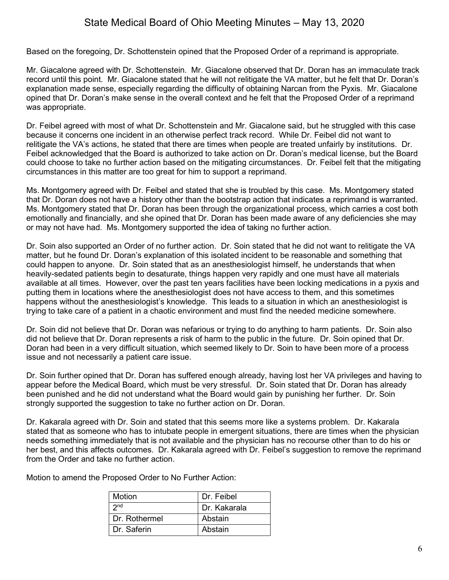Based on the foregoing, Dr. Schottenstein opined that the Proposed Order of a reprimand is appropriate.

Mr. Giacalone agreed with Dr. Schottenstein. Mr. Giacalone observed that Dr. Doran has an immaculate track record until this point. Mr. Giacalone stated that he will not relitigate the VA matter, but he felt that Dr. Doran's explanation made sense, especially regarding the difficulty of obtaining Narcan from the Pyxis. Mr. Giacalone opined that Dr. Doran's make sense in the overall context and he felt that the Proposed Order of a reprimand was appropriate.

Dr. Feibel agreed with most of what Dr. Schottenstein and Mr. Giacalone said, but he struggled with this case because it concerns one incident in an otherwise perfect track record. While Dr. Feibel did not want to relitigate the VA's actions, he stated that there are times when people are treated unfairly by institutions. Dr. Feibel acknowledged that the Board is authorized to take action on Dr. Doran's medical license, but the Board could choose to take no further action based on the mitigating circumstances. Dr. Feibel felt that the mitigating circumstances in this matter are too great for him to support a reprimand.

Ms. Montgomery agreed with Dr. Feibel and stated that she is troubled by this case. Ms. Montgomery stated that Dr. Doran does not have a history other than the bootstrap action that indicates a reprimand is warranted. Ms. Montgomery stated that Dr. Doran has been through the organizational process, which carries a cost both emotionally and financially, and she opined that Dr. Doran has been made aware of any deficiencies she may or may not have had. Ms. Montgomery supported the idea of taking no further action.

Dr. Soin also supported an Order of no further action. Dr. Soin stated that he did not want to relitigate the VA matter, but he found Dr. Doran's explanation of this isolated incident to be reasonable and something that could happen to anyone. Dr. Soin stated that as an anesthesiologist himself, he understands that when heavily-sedated patients begin to desaturate, things happen very rapidly and one must have all materials available at all times. However, over the past ten years facilities have been locking medications in a pyxis and putting them in locations where the anesthesiologist does not have access to them, and this sometimes happens without the anesthesiologist's knowledge. This leads to a situation in which an anesthesiologist is trying to take care of a patient in a chaotic environment and must find the needed medicine somewhere.

Dr. Soin did not believe that Dr. Doran was nefarious or trying to do anything to harm patients. Dr. Soin also did not believe that Dr. Doran represents a risk of harm to the public in the future. Dr. Soin opined that Dr. Doran had been in a very difficult situation, which seemed likely to Dr. Soin to have been more of a process issue and not necessarily a patient care issue.

Dr. Soin further opined that Dr. Doran has suffered enough already, having lost her VA privileges and having to appear before the Medical Board, which must be very stressful. Dr. Soin stated that Dr. Doran has already been punished and he did not understand what the Board would gain by punishing her further. Dr. Soin strongly supported the suggestion to take no further action on Dr. Doran.

Dr. Kakarala agreed with Dr. Soin and stated that this seems more like a systems problem. Dr. Kakarala stated that as someone who has to intubate people in emergent situations, there are times when the physician needs something immediately that is not available and the physician has no recourse other than to do his or her best, and this affects outcomes. Dr. Kakarala agreed with Dr. Feibel's suggestion to remove the reprimand from the Order and take no further action.

Motion to amend the Proposed Order to No Further Action:

| Motion          | Dr. Feibel   |
|-----------------|--------------|
| 2 <sub>nd</sub> | Dr. Kakarala |
| Dr. Rothermel   | Abstain      |
| Dr. Saferin     | Abstain      |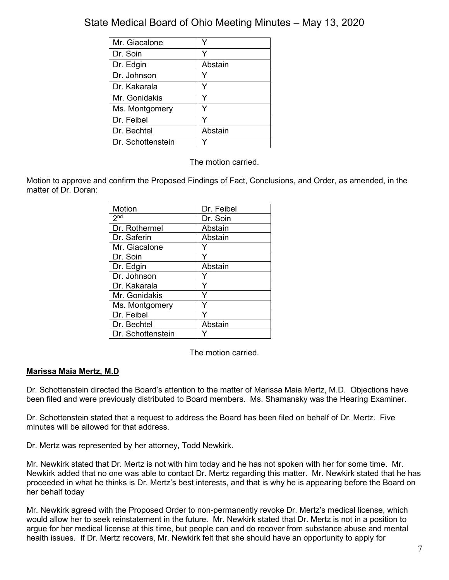| Mr. Giacalone     |         |
|-------------------|---------|
| Dr. Soin          | v       |
| Dr. Edgin         | Abstain |
| Dr. Johnson       |         |
| Dr. Kakarala      | v       |
| Mr. Gonidakis     |         |
| Ms. Montgomery    |         |
| Dr. Feibel        |         |
| Dr. Bechtel       | Abstain |
| Dr. Schottenstein |         |

The motion carried.

Motion to approve and confirm the Proposed Findings of Fact, Conclusions, and Order, as amended, in the matter of Dr. Doran:

| Motion            | Dr. Feibel |
|-------------------|------------|
| 2 <sub>nd</sub>   | Dr. Soin   |
| Dr. Rothermel     | Abstain    |
| Dr. Saferin       | Abstain    |
| Mr. Giacalone     |            |
| Dr. Soin          |            |
| Dr. Edgin         | Abstain    |
| Dr. Johnson       |            |
| Dr. Kakarala      | Y          |
| Mr. Gonidakis     | Y          |
| Ms. Montgomery    |            |
| Dr. Feibel        |            |
| Dr. Bechtel       | Abstain    |
| Dr. Schottenstein |            |

The motion carried.

### **Marissa Maia Mertz, M.D**

Dr. Schottenstein directed the Board's attention to the matter of Marissa Maia Mertz, M.D. Objections have been filed and were previously distributed to Board members. Ms. Shamansky was the Hearing Examiner.

Dr. Schottenstein stated that a request to address the Board has been filed on behalf of Dr. Mertz. Five minutes will be allowed for that address.

Dr. Mertz was represented by her attorney, Todd Newkirk.

Mr. Newkirk stated that Dr. Mertz is not with him today and he has not spoken with her for some time. Mr. Newkirk added that no one was able to contact Dr. Mertz regarding this matter. Mr. Newkirk stated that he has proceeded in what he thinks is Dr. Mertz's best interests, and that is why he is appearing before the Board on her behalf today

Mr. Newkirk agreed with the Proposed Order to non-permanently revoke Dr. Mertz's medical license, which would allow her to seek reinstatement in the future. Mr. Newkirk stated that Dr. Mertz is not in a position to argue for her medical license at this time, but people can and do recover from substance abuse and mental health issues. If Dr. Mertz recovers, Mr. Newkirk felt that she should have an opportunity to apply for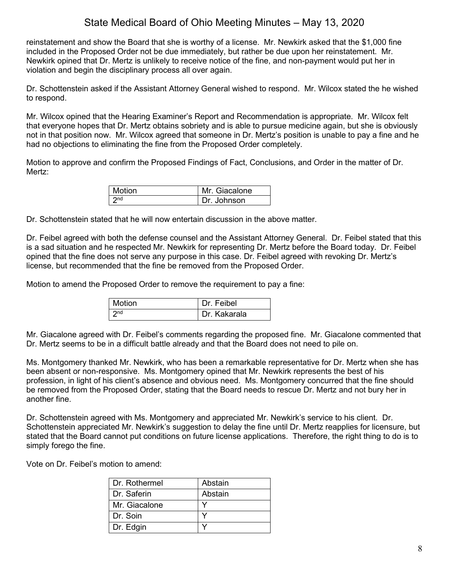reinstatement and show the Board that she is worthy of a license. Mr. Newkirk asked that the \$1,000 fine included in the Proposed Order not be due immediately, but rather be due upon her reinstatement. Mr. Newkirk opined that Dr. Mertz is unlikely to receive notice of the fine, and non-payment would put her in violation and begin the disciplinary process all over again.

Dr. Schottenstein asked if the Assistant Attorney General wished to respond. Mr. Wilcox stated the he wished to respond.

Mr. Wilcox opined that the Hearing Examiner's Report and Recommendation is appropriate. Mr. Wilcox felt that everyone hopes that Dr. Mertz obtains sobriety and is able to pursue medicine again, but she is obviously not in that position now. Mr. Wilcox agreed that someone in Dr. Mertz's position is unable to pay a fine and he had no objections to eliminating the fine from the Proposed Order completely.

Motion to approve and confirm the Proposed Findings of Fact, Conclusions, and Order in the matter of Dr. Mertz:

| l Motion | Mr. Giacalone |
|----------|---------------|
| nd 7     | Dr. Johnson   |

Dr. Schottenstein stated that he will now entertain discussion in the above matter.

Dr. Feibel agreed with both the defense counsel and the Assistant Attorney General. Dr. Feibel stated that this is a sad situation and he respected Mr. Newkirk for representing Dr. Mertz before the Board today. Dr. Feibel opined that the fine does not serve any purpose in this case. Dr. Feibel agreed with revoking Dr. Mertz's license, but recommended that the fine be removed from the Proposed Order.

Motion to amend the Proposed Order to remove the requirement to pay a fine:

| l Motion | Dr. Feibel   |
|----------|--------------|
| $2n$ d   | Dr. Kakarala |

Mr. Giacalone agreed with Dr. Feibel's comments regarding the proposed fine. Mr. Giacalone commented that Dr. Mertz seems to be in a difficult battle already and that the Board does not need to pile on.

Ms. Montgomery thanked Mr. Newkirk, who has been a remarkable representative for Dr. Mertz when she has been absent or non-responsive. Ms. Montgomery opined that Mr. Newkirk represents the best of his profession, in light of his client's absence and obvious need. Ms. Montgomery concurred that the fine should be removed from the Proposed Order, stating that the Board needs to rescue Dr. Mertz and not bury her in another fine.

Dr. Schottenstein agreed with Ms. Montgomery and appreciated Mr. Newkirk's service to his client. Dr. Schottenstein appreciated Mr. Newkirk's suggestion to delay the fine until Dr. Mertz reapplies for licensure, but stated that the Board cannot put conditions on future license applications. Therefore, the right thing to do is to simply forego the fine.

Vote on Dr. Feibel's motion to amend:

| I Dr. Rothermel | Abstain |
|-----------------|---------|
| I Dr. Saferin   | Abstain |
| Mr. Giacalone   |         |
| I Dr. Soin      |         |
| Dr. Edgin       |         |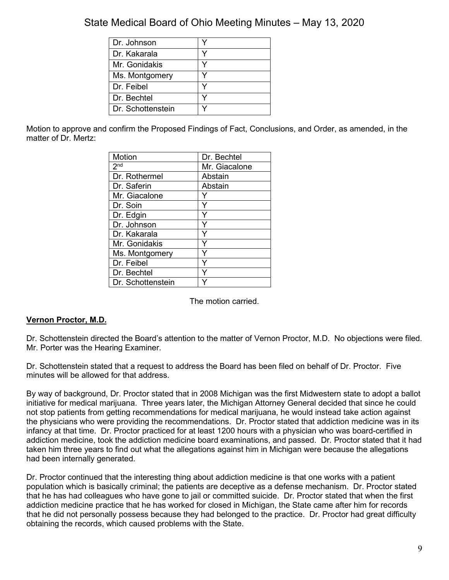| Dr. Johnson       |  |
|-------------------|--|
| Dr. Kakarala      |  |
| Mr. Gonidakis     |  |
| Ms. Montgomery    |  |
| Dr. Feibel        |  |
| Dr. Bechtel       |  |
| Dr. Schottenstein |  |

Motion to approve and confirm the Proposed Findings of Fact, Conclusions, and Order, as amended, in the matter of Dr. Mertz:

| <b>Motion</b>     | Dr. Bechtel   |
|-------------------|---------------|
| 2 <sup>nd</sup>   | Mr. Giacalone |
| Dr. Rothermel     | Abstain       |
| Dr. Saferin       | Abstain       |
| Mr. Giacalone     |               |
| Dr. Soin          | Y             |
| Dr. Edgin         | Y             |
| Dr. Johnson       | Y             |
| Dr. Kakarala      | Y             |
| Mr. Gonidakis     | ٧             |
| Ms. Montgomery    |               |
| Dr. Feibel        | Ý             |
| Dr. Bechtel       | Υ             |
| Dr. Schottenstein |               |

The motion carried.

### **Vernon Proctor, M.D.**

Dr. Schottenstein directed the Board's attention to the matter of Vernon Proctor, M.D. No objections were filed. Mr. Porter was the Hearing Examiner.

Dr. Schottenstein stated that a request to address the Board has been filed on behalf of Dr. Proctor. Five minutes will be allowed for that address.

By way of background, Dr. Proctor stated that in 2008 Michigan was the first Midwestern state to adopt a ballot initiative for medical marijuana. Three years later, the Michigan Attorney General decided that since he could not stop patients from getting recommendations for medical marijuana, he would instead take action against the physicians who were providing the recommendations. Dr. Proctor stated that addiction medicine was in its infancy at that time. Dr. Proctor practiced for at least 1200 hours with a physician who was board-certified in addiction medicine, took the addiction medicine board examinations, and passed. Dr. Proctor stated that it had taken him three years to find out what the allegations against him in Michigan were because the allegations had been internally generated.

Dr. Proctor continued that the interesting thing about addiction medicine is that one works with a patient population which is basically criminal; the patients are deceptive as a defense mechanism. Dr. Proctor stated that he has had colleagues who have gone to jail or committed suicide. Dr. Proctor stated that when the first addiction medicine practice that he has worked for closed in Michigan, the State came after him for records that he did not personally possess because they had belonged to the practice. Dr. Proctor had great difficulty obtaining the records, which caused problems with the State.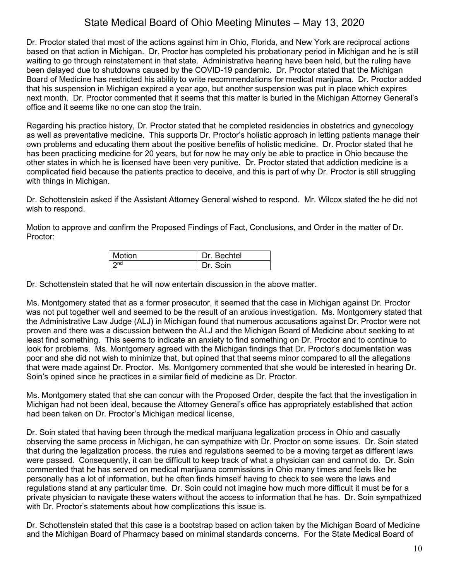Dr. Proctor stated that most of the actions against him in Ohio, Florida, and New York are reciprocal actions based on that action in Michigan. Dr. Proctor has completed his probationary period in Michigan and he is still waiting to go through reinstatement in that state. Administrative hearing have been held, but the ruling have been delayed due to shutdowns caused by the COVID-19 pandemic. Dr. Proctor stated that the Michigan Board of Medicine has restricted his ability to write recommendations for medical marijuana. Dr. Proctor added that his suspension in Michigan expired a year ago, but another suspension was put in place which expires next month. Dr. Proctor commented that it seems that this matter is buried in the Michigan Attorney General's office and it seems like no one can stop the train.

Regarding his practice history, Dr. Proctor stated that he completed residencies in obstetrics and gynecology as well as preventative medicine. This supports Dr. Proctor's holistic approach in letting patients manage their own problems and educating them about the positive benefits of holistic medicine. Dr. Proctor stated that he has been practicing medicine for 20 years, but for now he may only be able to practice in Ohio because the other states in which he is licensed have been very punitive. Dr. Proctor stated that addiction medicine is a complicated field because the patients practice to deceive, and this is part of why Dr. Proctor is still struggling with things in Michigan.

Dr. Schottenstein asked if the Assistant Attorney General wished to respond. Mr. Wilcox stated the he did not wish to respond.

Motion to approve and confirm the Proposed Findings of Fact, Conclusions, and Order in the matter of Dr. Proctor:

| <b>Motion</b> | Dr. Bechtel |
|---------------|-------------|
| 2nd           | Soin        |

Dr. Schottenstein stated that he will now entertain discussion in the above matter.

Ms. Montgomery stated that as a former prosecutor, it seemed that the case in Michigan against Dr. Proctor was not put together well and seemed to be the result of an anxious investigation. Ms. Montgomery stated that the Administrative Law Judge (ALJ) in Michigan found that numerous accusations against Dr. Proctor were not proven and there was a discussion between the ALJ and the Michigan Board of Medicine about seeking to at least find something. This seems to indicate an anxiety to find something on Dr. Proctor and to continue to look for problems. Ms. Montgomery agreed with the Michigan findings that Dr. Proctor's documentation was poor and she did not wish to minimize that, but opined that that seems minor compared to all the allegations that were made against Dr. Proctor. Ms. Montgomery commented that she would be interested in hearing Dr. Soin's opined since he practices in a similar field of medicine as Dr. Proctor.

Ms. Montgomery stated that she can concur with the Proposed Order, despite the fact that the investigation in Michigan had not been ideal, because the Attorney General's office has appropriately established that action had been taken on Dr. Proctor's Michigan medical license,

Dr. Soin stated that having been through the medical marijuana legalization process in Ohio and casually observing the same process in Michigan, he can sympathize with Dr. Proctor on some issues. Dr. Soin stated that during the legalization process, the rules and regulations seemed to be a moving target as different laws were passed. Consequently, it can be difficult to keep track of what a physician can and cannot do. Dr. Soin commented that he has served on medical marijuana commissions in Ohio many times and feels like he personally has a lot of information, but he often finds himself having to check to see were the laws and regulations stand at any particular time. Dr. Soin could not imagine how much more difficult it must be for a private physician to navigate these waters without the access to information that he has. Dr. Soin sympathized with Dr. Proctor's statements about how complications this issue is.

Dr. Schottenstein stated that this case is a bootstrap based on action taken by the Michigan Board of Medicine and the Michigan Board of Pharmacy based on minimal standards concerns. For the State Medical Board of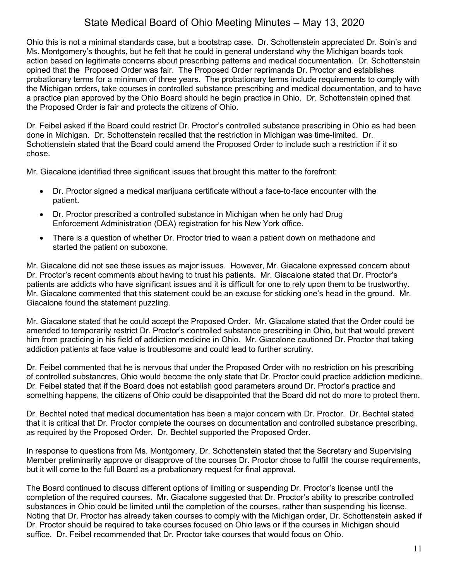Ohio this is not a minimal standards case, but a bootstrap case. Dr. Schottenstein appreciated Dr. Soin's and Ms. Montgomery's thoughts, but he felt that he could in general understand why the Michigan boards took action based on legitimate concerns about prescribing patterns and medical documentation. Dr. Schottenstein opined that the Proposed Order was fair. The Proposed Order reprimands Dr. Proctor and establishes probationary terms for a minimum of three years. The probationary terms include requirements to comply with the Michigan orders, take courses in controlled substance prescribing and medical documentation, and to have a practice plan approved by the Ohio Board should he begin practice in Ohio. Dr. Schottenstein opined that the Proposed Order is fair and protects the citizens of Ohio.

Dr. Feibel asked if the Board could restrict Dr. Proctor's controlled substance prescribing in Ohio as had been done in Michigan. Dr. Schottenstein recalled that the restriction in Michigan was time-limited. Dr. Schottenstein stated that the Board could amend the Proposed Order to include such a restriction if it so chose.

Mr. Giacalone identified three significant issues that brought this matter to the forefront:

- Dr. Proctor signed a medical marijuana certificate without a face-to-face encounter with the patient.
- Dr. Proctor prescribed a controlled substance in Michigan when he only had Drug Enforcement Administration (DEA) registration for his New York office.
- There is a question of whether Dr. Proctor tried to wean a patient down on methadone and started the patient on suboxone.

Mr. Giacalone did not see these issues as major issues. However, Mr. Giacalone expressed concern about Dr. Proctor's recent comments about having to trust his patients. Mr. Giacalone stated that Dr. Proctor's patients are addicts who have significant issues and it is difficult for one to rely upon them to be trustworthy. Mr. Giacalone commented that this statement could be an excuse for sticking one's head in the ground. Mr. Giacalone found the statement puzzling.

Mr. Giacalone stated that he could accept the Proposed Order. Mr. Giacalone stated that the Order could be amended to temporarily restrict Dr. Proctor's controlled substance prescribing in Ohio, but that would prevent him from practicing in his field of addiction medicine in Ohio. Mr. Giacalone cautioned Dr. Proctor that taking addiction patients at face value is troublesome and could lead to further scrutiny.

Dr. Feibel commented that he is nervous that under the Proposed Order with no restriction on his prescribing of controlled substancres, Ohio would become the only state that Dr. Proctor could practice addiction medicine. Dr. Feibel stated that if the Board does not establish good parameters around Dr. Proctor's practice and something happens, the citizens of Ohio could be disappointed that the Board did not do more to protect them.

Dr. Bechtel noted that medical documentation has been a major concern with Dr. Proctor. Dr. Bechtel stated that it is critical that Dr. Proctor complete the courses on documentation and controlled substance prescribing, as required by the Proposed Order. Dr. Bechtel supported the Proposed Order.

In response to questions from Ms. Montgomery, Dr. Schottenstein stated that the Secretary and Supervising Member preliminarily approve or disapprove of the courses Dr. Proctor chose to fulfill the course requirements, but it will come to the full Board as a probationary request for final approval.

The Board continued to discuss different options of limiting or suspending Dr. Proctor's license until the completion of the required courses. Mr. Giacalone suggested that Dr. Proctor's ability to prescribe controlled substances in Ohio could be limited until the completion of the courses, rather than suspending his license. Noting that Dr. Proctor has already taken courses to comply with the Michigan order, Dr. Schottenstein asked if Dr. Proctor should be required to take courses focused on Ohio laws or if the courses in Michigan should suffice. Dr. Feibel recommended that Dr. Proctor take courses that would focus on Ohio.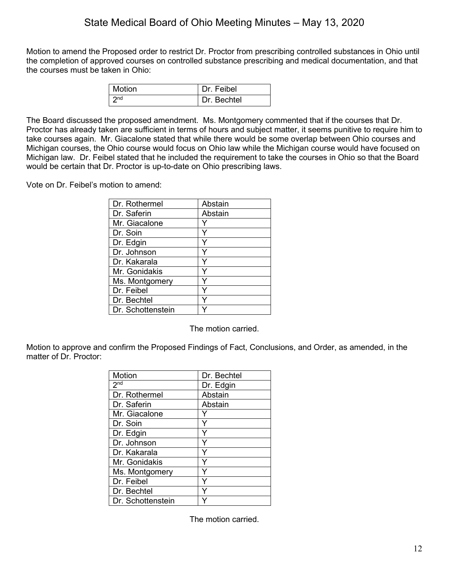Motion to amend the Proposed order to restrict Dr. Proctor from prescribing controlled substances in Ohio until the completion of approved courses on controlled substance prescribing and medical documentation, and that the courses must be taken in Ohio:

| Motion | Dr. Feibel  |
|--------|-------------|
| $\log$ | Dr. Bechtel |

The Board discussed the proposed amendment. Ms. Montgomery commented that if the courses that Dr. Proctor has already taken are sufficient in terms of hours and subject matter, it seems punitive to require him to take courses again. Mr. Giacalone stated that while there would be some overlap between Ohio courses and Michigan courses, the Ohio course would focus on Ohio law while the Michigan course would have focused on Michigan law. Dr. Feibel stated that he included the requirement to take the courses in Ohio so that the Board would be certain that Dr. Proctor is up-to-date on Ohio prescribing laws.

Vote on Dr. Feibel's motion to amend:

| Dr. Rothermel     | Abstain |
|-------------------|---------|
| Dr. Saferin       | Abstain |
| Mr. Giacalone     |         |
| Dr. Soin          |         |
| Dr. Edgin         |         |
| Dr. Johnson       |         |
| Dr. Kakarala      |         |
| Mr. Gonidakis     |         |
| Ms. Montgomery    |         |
| Dr. Feibel        |         |
| Dr. Bechtel       |         |
| Dr. Schottenstein |         |

The motion carried.

Motion to approve and confirm the Proposed Findings of Fact, Conclusions, and Order, as amended, in the matter of Dr. Proctor:

| <b>Motion</b>     | Dr. Bechtel |
|-------------------|-------------|
| 2 <sup>nd</sup>   | Dr. Edgin   |
| Dr. Rothermel     | Abstain     |
| Dr. Saferin       | Abstain     |
| Mr. Giacalone     |             |
| Dr. Soin          | Y           |
| Dr. Edgin         | Υ           |
| Dr. Johnson       | Y           |
| Dr. Kakarala      | Y           |
| Mr. Gonidakis     | Υ           |
| Ms. Montgomery    |             |
| Dr. Feibel        | Y           |
| Dr. Bechtel       | Y           |
| Dr. Schottenstein |             |

The motion carried.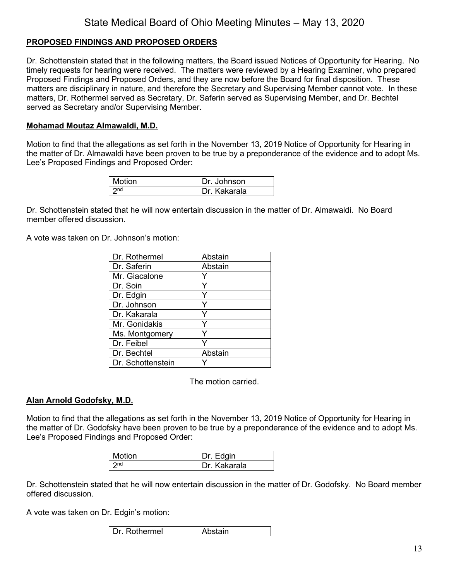### **PROPOSED FINDINGS AND PROPOSED ORDERS**

Dr. Schottenstein stated that in the following matters, the Board issued Notices of Opportunity for Hearing. No timely requests for hearing were received. The matters were reviewed by a Hearing Examiner, who prepared Proposed Findings and Proposed Orders, and they are now before the Board for final disposition. These matters are disciplinary in nature, and therefore the Secretary and Supervising Member cannot vote. In these matters, Dr. Rothermel served as Secretary, Dr. Saferin served as Supervising Member, and Dr. Bechtel served as Secretary and/or Supervising Member.

#### **Mohamad Moutaz Almawaldi, M.D.**

Motion to find that the allegations as set forth in the November 13, 2019 Notice of Opportunity for Hearing in the matter of Dr. Almawaldi have been proven to be true by a preponderance of the evidence and to adopt Ms. Lee's Proposed Findings and Proposed Order:

| Motion          | Dr. Johnson  |
|-----------------|--------------|
| 2n <sub>d</sub> | Dr. Kakarala |

Dr. Schottenstein stated that he will now entertain discussion in the matter of Dr. Almawaldi. No Board member offered discussion.

A vote was taken on Dr. Johnson's motion:

| Dr. Rothermel     | Abstain |
|-------------------|---------|
| Dr. Saferin       | Abstain |
| Mr. Giacalone     |         |
| Dr. Soin          | Y       |
| Dr. Edgin         |         |
| Dr. Johnson       |         |
| Dr. Kakarala      |         |
| Mr. Gonidakis     |         |
| Ms. Montgomery    |         |
| Dr. Feibel        |         |
| Dr. Bechtel       | Abstain |
| Dr. Schottenstein |         |

The motion carried.

### **Alan Arnold Godofsky, M.D.**

Motion to find that the allegations as set forth in the November 13, 2019 Notice of Opportunity for Hearing in the matter of Dr. Godofsky have been proven to be true by a preponderance of the evidence and to adopt Ms. Lee's Proposed Findings and Proposed Order:

| Motion          | Dr. Edgin    |
|-----------------|--------------|
| $\mathsf{C}$ nd | Dr. Kakarala |

Dr. Schottenstein stated that he will now entertain discussion in the matter of Dr. Godofsky. No Board member offered discussion.

A vote was taken on Dr. Edgin's motion:

| I Dr. Rothermel | Abstain |
|-----------------|---------|
|-----------------|---------|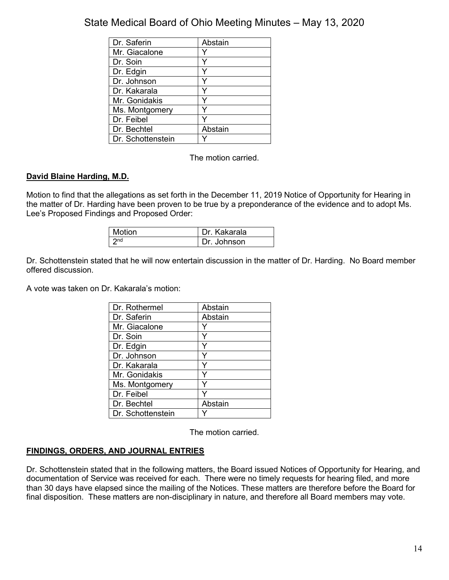| Dr. Saferin       | Abstain |
|-------------------|---------|
| Mr. Giacalone     |         |
| Dr. Soin          | Y       |
| Dr. Edgin         |         |
| Dr. Johnson       |         |
| Dr. Kakarala      | Y       |
| Mr. Gonidakis     |         |
| Ms. Montgomery    |         |
| Dr. Feibel        |         |
| Dr. Bechtel       | Abstain |
| Dr. Schottenstein |         |

The motion carried.

### **David Blaine Harding, M.D.**

Motion to find that the allegations as set forth in the December 11, 2019 Notice of Opportunity for Hearing in the matter of Dr. Harding have been proven to be true by a preponderance of the evidence and to adopt Ms. Lee's Proposed Findings and Proposed Order:

| Motion | Dr. Kakarala |
|--------|--------------|
| rona   | Dr. Johnson  |

Dr. Schottenstein stated that he will now entertain discussion in the matter of Dr. Harding. No Board member offered discussion.

A vote was taken on Dr. Kakarala's motion:

| Dr. Rothermel     | Abstain |
|-------------------|---------|
| Dr. Saferin       | Abstain |
| Mr. Giacalone     |         |
| Dr. Soin          |         |
| Dr. Edgin         |         |
| Dr. Johnson       |         |
| Dr. Kakarala      | Y       |
| Mr. Gonidakis     |         |
| Ms. Montgomery    | ٧       |
| Dr. Feibel        |         |
| Dr. Bechtel       | Abstain |
| Dr. Schottenstein |         |

The motion carried.

### **FINDINGS, ORDERS, AND JOURNAL ENTRIES**

Dr. Schottenstein stated that in the following matters, the Board issued Notices of Opportunity for Hearing, and documentation of Service was received for each. There were no timely requests for hearing filed, and more than 30 days have elapsed since the mailing of the Notices. These matters are therefore before the Board for final disposition. These matters are non-disciplinary in nature, and therefore all Board members may vote.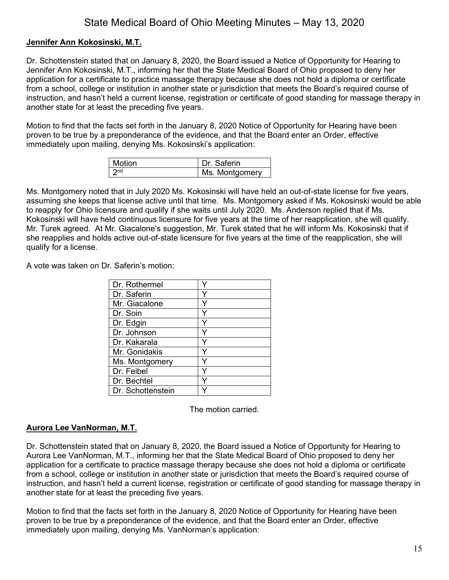### **Jennifer Ann Kokosinski, M.T.**

Dr. Schottenstein stated that on January 8, 2020, the Board issued a Notice of Opportunity for Hearing to Jennifer Ann Kokosinski, M.T., informing her that the State Medical Board of Ohio proposed to deny her application for a certificate to practice massage therapy because she does not hold a diploma or certificate from a school, college or institution in another state or jurisdiction that meets the Board's required course of instruction, and hasn't held a current license, registration or certificate of good standing for massage therapy in another state for at least the preceding five years.

Motion to find that the facts set forth in the January 8, 2020 Notice of Opportunity for Hearing have been proven to be true by a preponderance of the evidence, and that the Board enter an Order, effective immediately upon mailing, denying Ms. Kokosinski's application:

| Motion | Dr. Saferin    |
|--------|----------------|
|        | Ms. Montgomery |

Ms. Montgomery noted that in July 2020 Ms. Kokosinski will have held an out-of-state license for five years, assuming she keeps that license active until that time. Ms. Montgomery asked if Ms. Kokosinski would be able to reapply for Ohio licensure and qualify if she waits until July 2020. Ms. Anderson replied that if Ms. Kokosinski will have held continuous licensure for five years at the time of her reapplication, she will qualify. Mr. Turek agreed. At Mr. Giacalone's suggestion, Mr. Turek stated that he will inform Ms. Kokosinski that if she reapplies and holds active out-of-state licensure for five years at the time of the reapplication, she will qualify for a license.

A vote was taken on Dr. Saferin's motion:

| Dr. Rothermel     |   |
|-------------------|---|
| Dr. Saferin       | v |
| Mr. Giacalone     |   |
| Dr. Soin          |   |
| Dr. Edgin         |   |
| Dr. Johnson       |   |
| Dr. Kakarala      |   |
| Mr. Gonidakis     |   |
| Ms. Montgomery    |   |
| Dr. Feibel        |   |
| Dr. Bechtel       |   |
| Dr. Schottenstein |   |

The motion carried.

### **Aurora Lee VanNorman, M.T.**

Dr. Schottenstein stated that on January 8, 2020, the Board issued a Notice of Opportunity for Hearing to Aurora Lee VanNorman, M.T., informing her that the State Medical Board of Ohio proposed to deny her application for a certificate to practice massage therapy because she does not hold a diploma or certificate from a school, college or institution in another state or jurisdiction that meets the Board's required course of instruction, and hasn't held a current license, registration or certificate of good standing for massage therapy in another state for at least the preceding five years.

Motion to find that the facts set forth in the January 8, 2020 Notice of Opportunity for Hearing have been proven to be true by a preponderance of the evidence, and that the Board enter an Order, effective immediately upon mailing, denying Ms. VanNorman's application: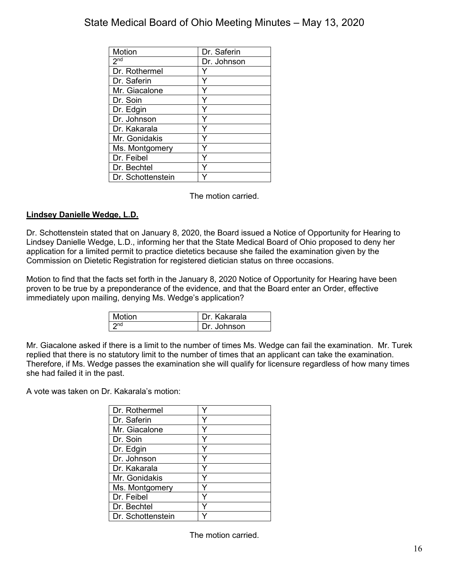| <b>Motion</b>     | Dr. Saferin |
|-------------------|-------------|
| 2 <sub>nd</sub>   | Dr. Johnson |
| Dr. Rothermel     |             |
| Dr. Saferin       | ٧           |
| Mr. Giacalone     | Y           |
| Dr. Soin          |             |
| Dr. Edgin         | Υ           |
| Dr. Johnson       |             |
| Dr. Kakarala      |             |
| Mr. Gonidakis     | v           |
| Ms. Montgomery    |             |
| Dr. Feibel        |             |
| Dr. Bechtel       |             |
| Dr. Schottenstein |             |

The motion carried.

### **Lindsey Danielle Wedge, L.D.**

Dr. Schottenstein stated that on January 8, 2020, the Board issued a Notice of Opportunity for Hearing to Lindsey Danielle Wedge, L.D., informing her that the State Medical Board of Ohio proposed to deny her application for a limited permit to practice dietetics because she failed the examination given by the Commission on Dietetic Registration for registered dietician status on three occasions.

Motion to find that the facts set forth in the January 8, 2020 Notice of Opportunity for Hearing have been proven to be true by a preponderance of the evidence, and that the Board enter an Order, effective immediately upon mailing, denying Ms. Wedge's application?

| Motion | Dr. Kakarala |
|--------|--------------|
|        | Dr. Johnson  |

Mr. Giacalone asked if there is a limit to the number of times Ms. Wedge can fail the examination. Mr. Turek replied that there is no statutory limit to the number of times that an applicant can take the examination. Therefore, if Ms. Wedge passes the examination she will qualify for licensure regardless of how many times she had failed it in the past.

A vote was taken on Dr. Kakarala's motion:

| Dr. Rothermel     |   |
|-------------------|---|
| Dr. Saferin       |   |
| Mr. Giacalone     |   |
| Dr. Soin          |   |
| Dr. Edgin         |   |
| Dr. Johnson       |   |
| Dr. Kakarala      |   |
| Mr. Gonidakis     |   |
| Ms. Montgomery    |   |
| Dr. Feibel        | Y |
| Dr. Bechtel       |   |
| Dr. Schottenstein |   |

The motion carried.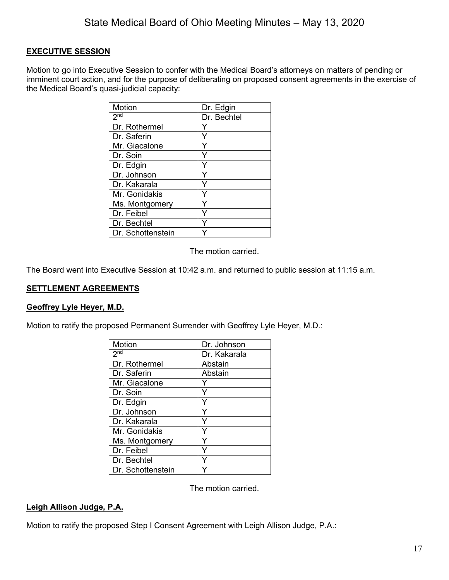### **EXECUTIVE SESSION**

Motion to go into Executive Session to confer with the Medical Board's attorneys on matters of pending or imminent court action, and for the purpose of deliberating on proposed consent agreements in the exercise of the Medical Board's quasi-judicial capacity:

| <b>Motion</b>     | Dr. Edgin   |
|-------------------|-------------|
| 2 <sub>nd</sub>   | Dr. Bechtel |
| Dr. Rothermel     |             |
| Dr. Saferin       | Y           |
| Mr. Giacalone     |             |
| Dr. Soin          |             |
| Dr. Edgin         |             |
| Dr. Johnson       |             |
| Dr. Kakarala      |             |
| Mr. Gonidakis     |             |
| Ms. Montgomery    |             |
| Dr. Feibel        |             |
| Dr. Bechtel       |             |
| Dr. Schottenstein |             |

The motion carried.

The Board went into Executive Session at 10:42 a.m. and returned to public session at 11:15 a.m.

### **SETTLEMENT AGREEMENTS**

### **Geoffrey Lyle Heyer, M.D.**

Motion to ratify the proposed Permanent Surrender with Geoffrey Lyle Heyer, M.D.:

| Motion            | Dr. Johnson  |
|-------------------|--------------|
| 2 <sub>nd</sub>   | Dr. Kakarala |
| Dr. Rothermel     | Abstain      |
| Dr. Saferin       | Abstain      |
| Mr. Giacalone     |              |
| Dr. Soin          |              |
| Dr. Edgin         | Υ            |
| Dr. Johnson       | Y            |
| Dr. Kakarala      |              |
| Mr. Gonidakis     | Y            |
| Ms. Montgomery    | Y            |
| Dr. Feibel        | Y            |
| Dr. Bechtel       |              |
| Dr. Schottenstein |              |

The motion carried.

### **Leigh Allison Judge, P.A.**

Motion to ratify the proposed Step I Consent Agreement with Leigh Allison Judge, P.A.: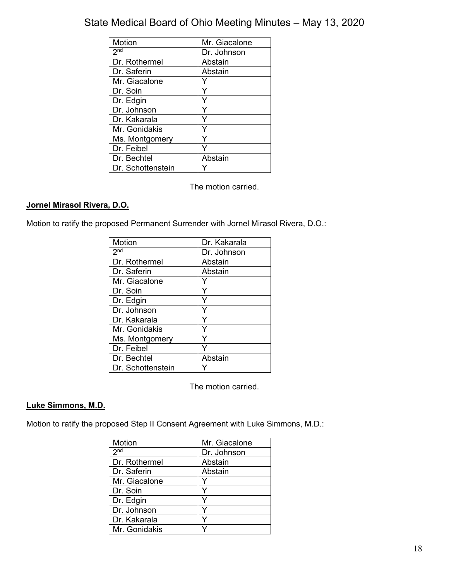| Motion            | Mr. Giacalone |
|-------------------|---------------|
| 2 <sub>nd</sub>   | Dr. Johnson   |
| Dr. Rothermel     | Abstain       |
| Dr. Saferin       | Abstain       |
| Mr. Giacalone     |               |
| Dr. Soin          |               |
| Dr. Edgin         | ٧             |
| Dr. Johnson       |               |
| Dr. Kakarala      |               |
| Mr. Gonidakis     | ∨             |
| Ms. Montgomery    |               |
| Dr. Feibel        |               |
| Dr. Bechtel       | Abstain       |
| Dr. Schottenstein |               |

The motion carried.

### **Jornel Mirasol Rivera, D.O.**

Motion to ratify the proposed Permanent Surrender with Jornel Mirasol Rivera, D.O.:

| Motion            | Dr. Kakarala |
|-------------------|--------------|
| 2 <sub>nd</sub>   | Dr. Johnson  |
| Dr. Rothermel     | Abstain      |
| Dr. Saferin       | Abstain      |
| Mr. Giacalone     |              |
| Dr. Soin          |              |
| Dr. Edgin         |              |
| Dr. Johnson       |              |
| Dr. Kakarala      |              |
| Mr. Gonidakis     |              |
| Ms. Montgomery    |              |
| Dr. Feibel        |              |
| Dr. Bechtel       | Abstain      |
| Dr. Schottenstein |              |

The motion carried.

### **Luke Simmons, M.D.**

Motion to ratify the proposed Step II Consent Agreement with Luke Simmons, M.D.:

| <b>Motion</b>   | Mr. Giacalone |
|-----------------|---------------|
| 2 <sup>nd</sup> | Dr. Johnson   |
| Dr. Rothermel   | Abstain       |
| Dr. Saferin     | Abstain       |
| Mr. Giacalone   |               |
| Dr. Soin        | Y             |
| Dr. Edgin       |               |
| Dr. Johnson     |               |
| Dr. Kakarala    |               |
| Mr. Gonidakis   |               |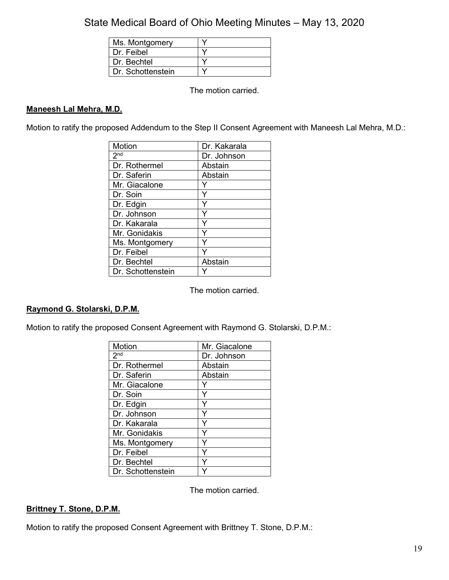| Ms. Montgomery    |  |
|-------------------|--|
| Dr. Feibel        |  |
| Dr. Bechtel       |  |
| Dr. Schottenstein |  |

The motion carried.

### **Maneesh Lal Mehra, M.D.**

Motion to ratify the proposed Addendum to the Step II Consent Agreement with Maneesh Lal Mehra, M.D.:

| Motion            | Dr. Kakarala |
|-------------------|--------------|
| 2 <sub>nd</sub>   | Dr. Johnson  |
| Dr. Rothermel     | Abstain      |
| Dr. Saferin       | Abstain      |
| Mr. Giacalone     | Y            |
| Dr. Soin          | Y            |
| Dr. Edgin         | Y            |
| Dr. Johnson       | Ý            |
| Dr. Kakarala      | Y            |
| Mr. Gonidakis     | Y            |
| Ms. Montgomery    |              |
| Dr. Feibel        |              |
| Dr. Bechtel       | Abstain      |
| Dr. Schottenstein |              |

The motion carried.

### **Raymond G. Stolarski, D.P.M.**

Motion to ratify the proposed Consent Agreement with Raymond G. Stolarski, D.P.M.:

| <b>Motion</b>     | Mr. Giacalone |
|-------------------|---------------|
| 2 <sup>nd</sup>   | Dr. Johnson   |
| Dr. Rothermel     | Abstain       |
| Dr. Saferin       | Abstain       |
| Mr. Giacalone     |               |
| Dr. Soin          | Y             |
| Dr. Edgin         | Y             |
| Dr. Johnson       | Y             |
| Dr. Kakarala      |               |
| Mr. Gonidakis     | Y             |
| Ms. Montgomery    |               |
| Dr. Feibel        |               |
| Dr. Bechtel       |               |
| Dr. Schottenstein |               |

The motion carried.

### **Brittney T. Stone, D.P.M.**

Motion to ratify the proposed Consent Agreement with Brittney T. Stone, D.P.M.: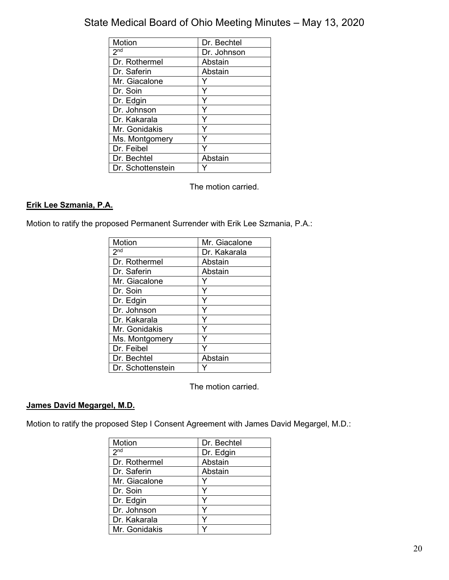| Motion            | Dr. Bechtel |
|-------------------|-------------|
| 2 <sup>nd</sup>   | Dr. Johnson |
| Dr. Rothermel     | Abstain     |
| Dr. Saferin       | Abstain     |
| Mr. Giacalone     |             |
| Dr. Soin          |             |
| Dr. Edgin         | ٧           |
| Dr. Johnson       |             |
| Dr. Kakarala      |             |
| Mr. Gonidakis     | v           |
| Ms. Montgomery    |             |
| Dr. Feibel        |             |
| Dr. Bechtel       | Abstain     |
| Dr. Schottenstein |             |

The motion carried.

### **Erik Lee Szmania, P.A.**

Motion to ratify the proposed Permanent Surrender with Erik Lee Szmania, P.A.:

| Motion            | Mr. Giacalone |
|-------------------|---------------|
| 2 <sub>nd</sub>   | Dr. Kakarala  |
| Dr. Rothermel     | Abstain       |
| Dr. Saferin       | Abstain       |
| Mr. Giacalone     |               |
| Dr. Soin          |               |
| Dr. Edgin         |               |
| Dr. Johnson       |               |
| Dr. Kakarala      |               |
| Mr. Gonidakis     |               |
| Ms. Montgomery    |               |
| Dr. Feibel        |               |
| Dr. Bechtel       | Abstain       |
| Dr. Schottenstein |               |

The motion carried.

### **James David Megargel, M.D.**

Motion to ratify the proposed Step I Consent Agreement with James David Megargel, M.D.:

| Motion          | Dr. Bechtel |
|-----------------|-------------|
| 2 <sub>nd</sub> | Dr. Edgin   |
| Dr. Rothermel   | Abstain     |
| Dr. Saferin     | Abstain     |
| Mr. Giacalone   |             |
| Dr. Soin        | v           |
| Dr. Edgin       |             |
| Dr. Johnson     |             |
| Dr. Kakarala    |             |
| Mr. Gonidakis   |             |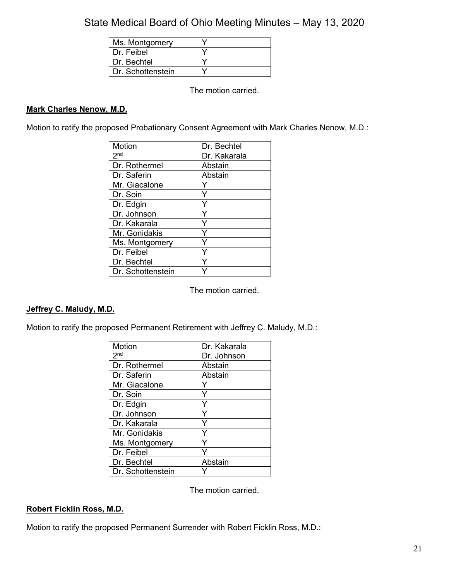| Ms. Montgomery    |  |
|-------------------|--|
| Dr. Feibel        |  |
| Dr. Bechtel       |  |
| Dr. Schottenstein |  |

The motion carried.

### **Mark Charles Nenow, M.D.**

Motion to ratify the proposed Probationary Consent Agreement with Mark Charles Nenow, M.D.:

| <b>Motion</b>     | Dr. Bechtel  |
|-------------------|--------------|
| 2 <sub>nd</sub>   | Dr. Kakarala |
| Dr. Rothermel     | Abstain      |
| Dr. Saferin       | Abstain      |
| Mr. Giacalone     |              |
| Dr. Soin          | Y            |
| Dr. Edgin         | Y            |
| Dr. Johnson       | Y            |
| Dr. Kakarala      | Y            |
| Mr. Gonidakis     | Y            |
| Ms. Montgomery    |              |
| Dr. Feibel        | Y            |
| Dr. Bechtel       |              |
| Dr. Schottenstein |              |

The motion carried.

### **Jeffrey C. Maludy, M.D.**

Motion to ratify the proposed Permanent Retirement with Jeffrey C. Maludy, M.D.:

| Motion            | Dr. Kakarala |
|-------------------|--------------|
| 2 <sup>nd</sup>   | Dr. Johnson  |
| Dr. Rothermel     | Abstain      |
| Dr. Saferin       | Abstain      |
| Mr. Giacalone     |              |
| Dr. Soin          | Y            |
| Dr. Edgin         | Y            |
| Dr. Johnson       |              |
| Dr. Kakarala      |              |
| Mr. Gonidakis     | Y            |
| Ms. Montgomery    |              |
| Dr. Feibel        |              |
| Dr. Bechtel       | Abstain      |
| Dr. Schottenstein |              |

The motion carried.

### **Robert Ficklin Ross, M.D.**

Motion to ratify the proposed Permanent Surrender with Robert Ficklin Ross, M.D.: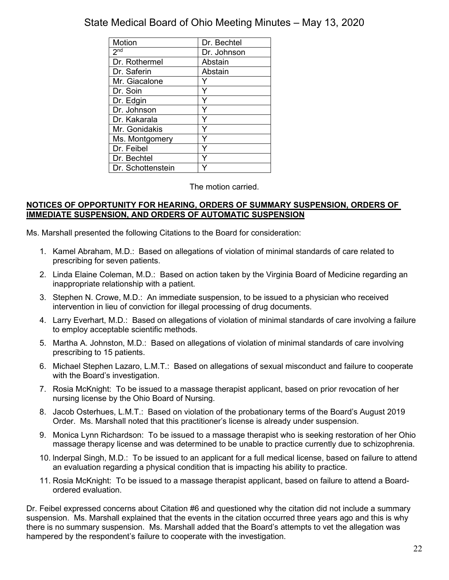| Motion            | Dr. Bechtel |
|-------------------|-------------|
| 2 <sup>nd</sup>   | Dr. Johnson |
| Dr. Rothermel     | Abstain     |
| Dr. Saferin       | Abstain     |
| Mr. Giacalone     |             |
| Dr. Soin          |             |
| Dr. Edgin         | ٧           |
| Dr. Johnson       |             |
| Dr. Kakarala      |             |
| Mr. Gonidakis     |             |
| Ms. Montgomery    |             |
| Dr. Feibel        |             |
| Dr. Bechtel       |             |
| Dr. Schottenstein |             |

The motion carried.

### **NOTICES OF OPPORTUNITY FOR HEARING, ORDERS OF SUMMARY SUSPENSION, ORDERS OF IMMEDIATE SUSPENSION, AND ORDERS OF AUTOMATIC SUSPENSION**

Ms. Marshall presented the following Citations to the Board for consideration:

- 1. Kamel Abraham, M.D.: Based on allegations of violation of minimal standards of care related to prescribing for seven patients.
- 2. Linda Elaine Coleman, M.D.: Based on action taken by the Virginia Board of Medicine regarding an inappropriate relationship with a patient.
- 3. Stephen N. Crowe, M.D.: An immediate suspension, to be issued to a physician who received intervention in lieu of conviction for illegal processing of drug documents.
- 4. Larry Everhart, M.D.: Based on allegations of violation of minimal standards of care involving a failure to employ acceptable scientific methods.
- 5. Martha A. Johnston, M.D.: Based on allegations of violation of minimal standards of care involving prescribing to 15 patients.
- 6. Michael Stephen Lazaro, L.M.T.: Based on allegations of sexual misconduct and failure to cooperate with the Board's investigation.
- 7. Rosia McKnight: To be issued to a massage therapist applicant, based on prior revocation of her nursing license by the Ohio Board of Nursing.
- 8. Jacob Osterhues, L.M.T.: Based on violation of the probationary terms of the Board's August 2019 Order. Ms. Marshall noted that this practitioner's license is already under suspension.
- 9. Monica Lynn Richardson: To be issued to a massage therapist who is seeking restoration of her Ohio massage therapy license and was determined to be unable to practice currently due to schizophrenia.
- 10. lnderpal Singh, M.D.: To be issued to an applicant for a full medical license, based on failure to attend an evaluation regarding a physical condition that is impacting his ability to practice.
- 11. Rosia McKnight: To be issued to a massage therapist applicant, based on failure to attend a Boardordered evaluation.

Dr. Feibel expressed concerns about Citation #6 and questioned why the citation did not include a summary suspension. Ms. Marshall explained that the events in the citation occurred three years ago and this is why there is no summary suspension. Ms. Marshall added that the Board's attempts to vet the allegation was hampered by the respondent's failure to cooperate with the investigation.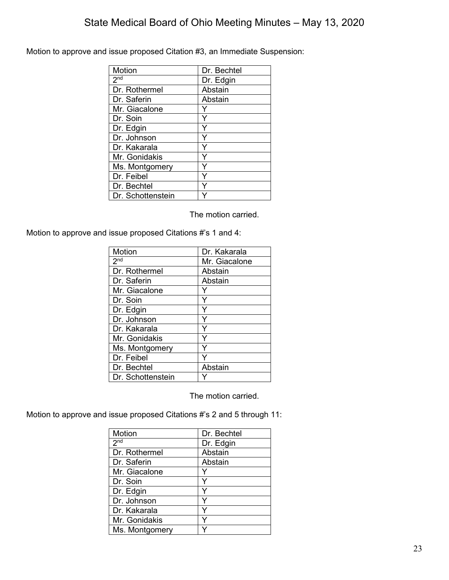Motion to approve and issue proposed Citation #3, an Immediate Suspension:

| <b>Motion</b>              | Dr. Bechtel |
|----------------------------|-------------|
| $2^{\overline{\text{nd}}}$ | Dr. Edgin   |
| Dr. Rothermel              | Abstain     |
| Dr. Saferin                | Abstain     |
| Mr. Giacalone              |             |
| Dr. Soin                   | Y           |
| Dr. Edgin                  |             |
| Dr. Johnson                | Υ           |
| Dr. Kakarala               |             |
| Mr. Gonidakis              |             |
| Ms. Montgomery             |             |
| Dr. Feibel                 |             |
| Dr. Bechtel                |             |
| Dr. Schottenstein          |             |

The motion carried.

Motion to approve and issue proposed Citations #'s 1 and 4:

| Motion            | Dr. Kakarala  |
|-------------------|---------------|
| 2 <sup>nd</sup>   | Mr. Giacalone |
| Dr. Rothermel     | Abstain       |
| Dr. Saferin       | Abstain       |
| Mr. Giacalone     |               |
| Dr. Soin          | Y             |
| Dr. Edgin         | Y             |
| Dr. Johnson       | Y             |
| Dr. Kakarala      | Y             |
| Mr. Gonidakis     | Y             |
| Ms. Montgomery    | Y             |
| Dr. Feibel        |               |
| Dr. Bechtel       | Abstain       |
| Dr. Schottenstein |               |

The motion carried.

Motion to approve and issue proposed Citations #'s 2 and 5 through 11:

| Motion          | Dr. Bechtel |
|-----------------|-------------|
| 2 <sup>nd</sup> | Dr. Edgin   |
| Dr. Rothermel   | Abstain     |
| Dr. Saferin     | Abstain     |
| Mr. Giacalone   |             |
| Dr. Soin        |             |
| Dr. Edgin       |             |
| Dr. Johnson     |             |
| Dr. Kakarala    |             |
| Mr. Gonidakis   |             |
| Ms. Montgomery  |             |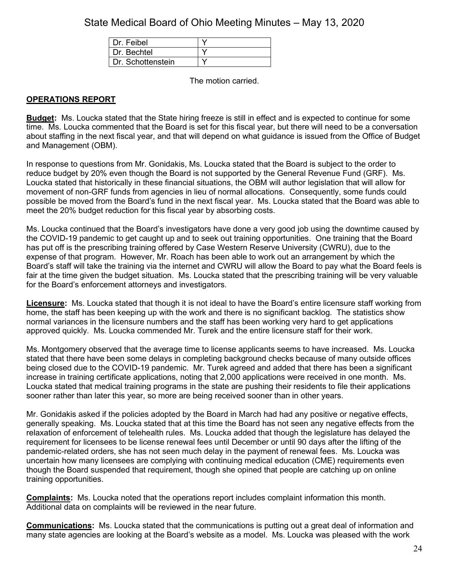| Dr. Feibel        |  |
|-------------------|--|
| Dr. Bechtel       |  |
| Dr. Schottenstein |  |

The motion carried.

### **OPERATIONS REPORT**

**Budget:** Ms. Loucka stated that the State hiring freeze is still in effect and is expected to continue for some time. Ms. Loucka commented that the Board is set for this fiscal year, but there will need to be a conversation about staffing in the next fiscal year, and that will depend on what guidance is issued from the Office of Budget and Management (OBM).

In response to questions from Mr. Gonidakis, Ms. Loucka stated that the Board is subject to the order to reduce budget by 20% even though the Board is not supported by the General Revenue Fund (GRF). Ms. Loucka stated that historically in these financial situations, the OBM will author legislation that will allow for movement of non-GRF funds from agencies in lieu of normal allocations. Consequently, some funds could possible be moved from the Board's fund in the next fiscal year. Ms. Loucka stated that the Board was able to meet the 20% budget reduction for this fiscal year by absorbing costs.

Ms. Loucka continued that the Board's investigators have done a very good job using the downtime caused by the COVID-19 pandemic to get caught up and to seek out training opportunities. One training that the Board has put off is the prescribing training offered by Case Western Reserve University (CWRU), due to the expense of that program. However, Mr. Roach has been able to work out an arrangement by which the Board's staff will take the training via the internet and CWRU will allow the Board to pay what the Board feels is fair at the time given the budget situation. Ms. Loucka stated that the prescribing training will be very valuable for the Board's enforcement attorneys and investigators.

**Licensure:** Ms. Loucka stated that though it is not ideal to have the Board's entire licensure staff working from home, the staff has been keeping up with the work and there is no significant backlog. The statistics show normal variances in the licensure numbers and the staff has been working very hard to get applications approved quickly. Ms. Loucka commended Mr. Turek and the entire licensure staff for their work.

Ms. Montgomery observed that the average time to license applicants seems to have increased. Ms. Loucka stated that there have been some delays in completing background checks because of many outside offices being closed due to the COVID-19 pandemic. Mr. Turek agreed and added that there has been a significant increase in training certificate applications, noting that 2,000 applications were received in one month. Ms. Loucka stated that medical training programs in the state are pushing their residents to file their applications sooner rather than later this year, so more are being received sooner than in other years.

Mr. Gonidakis asked if the policies adopted by the Board in March had had any positive or negative effects, generally speaking. Ms. Loucka stated that at this time the Board has not seen any negative effects from the relaxation of enforcement of telehealth rules. Ms. Loucka added that though the legislature has delayed the requirement for licensees to be license renewal fees until December or until 90 days after the lifting of the pandemic-related orders, she has not seen much delay in the payment of renewal fees. Ms. Loucka was uncertain how many licensees are complying with continuing medical education (CME) requirements even though the Board suspended that requirement, though she opined that people are catching up on online training opportunities.

**Complaints:** Ms. Loucka noted that the operations report includes complaint information this month. Additional data on complaints will be reviewed in the near future.

**Communications:** Ms. Loucka stated that the communications is putting out a great deal of information and many state agencies are looking at the Board's website as a model. Ms. Loucka was pleased with the work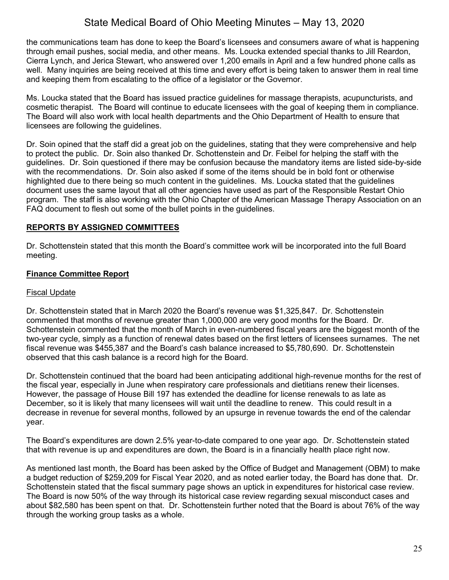the communications team has done to keep the Board's licensees and consumers aware of what is happening through email pushes, social media, and other means. Ms. Loucka extended special thanks to Jill Reardon, Cierra Lynch, and Jerica Stewart, who answered over 1,200 emails in April and a few hundred phone calls as well. Many inquiries are being received at this time and every effort is being taken to answer them in real time and keeping them from escalating to the office of a legislator or the Governor.

Ms. Loucka stated that the Board has issued practice guidelines for massage therapists, acupuncturists, and cosmetic therapist. The Board will continue to educate licensees with the goal of keeping them in compliance. The Board will also work with local health departments and the Ohio Department of Health to ensure that licensees are following the guidelines.

Dr. Soin opined that the staff did a great job on the guidelines, stating that they were comprehensive and help to protect the public. Dr. Soin also thanked Dr. Schottenstein and Dr. Feibel for helping the staff with the guidelines. Dr. Soin questioned if there may be confusion because the mandatory items are listed side-by-side with the recommendations. Dr. Soin also asked if some of the items should be in bold font or otherwise highlighted due to there being so much content in the guidelines. Ms. Loucka stated that the guidelines document uses the same layout that all other agencies have used as part of the Responsible Restart Ohio program. The staff is also working with the Ohio Chapter of the American Massage Therapy Association on an FAQ document to flesh out some of the bullet points in the guidelines.

### **REPORTS BY ASSIGNED COMMITTEES**

Dr. Schottenstein stated that this month the Board's committee work will be incorporated into the full Board meeting.

### **Finance Committee Report**

### Fiscal Update

Dr. Schottenstein stated that in March 2020 the Board's revenue was \$1,325,847. Dr. Schottenstein commented that months of revenue greater than 1,000,000 are very good months for the Board. Dr. Schottenstein commented that the month of March in even-numbered fiscal years are the biggest month of the two-year cycle, simply as a function of renewal dates based on the first letters of licensees surnames. The net fiscal revenue was \$455,387 and the Board's cash balance increased to \$5,780,690. Dr. Schottenstein observed that this cash balance is a record high for the Board.

Dr. Schottenstein continued that the board had been anticipating additional high-revenue months for the rest of the fiscal year, especially in June when respiratory care professionals and dietitians renew their licenses. However, the passage of House Bill 197 has extended the deadline for license renewals to as late as December, so it is likely that many licensees will wait until the deadline to renew. This could result in a decrease in revenue for several months, followed by an upsurge in revenue towards the end of the calendar year.

The Board's expenditures are down 2.5% year-to-date compared to one year ago. Dr. Schottenstein stated that with revenue is up and expenditures are down, the Board is in a financially health place right now.

As mentioned last month, the Board has been asked by the Office of Budget and Management (OBM) to make a budget reduction of \$259,209 for Fiscal Year 2020, and as noted earlier today, the Board has done that. Dr. Schottenstein stated that the fiscal summary page shows an uptick in expenditures for historical case review. The Board is now 50% of the way through its historical case review regarding sexual misconduct cases and about \$82,580 has been spent on that. Dr. Schottenstein further noted that the Board is about 76% of the way through the working group tasks as a whole.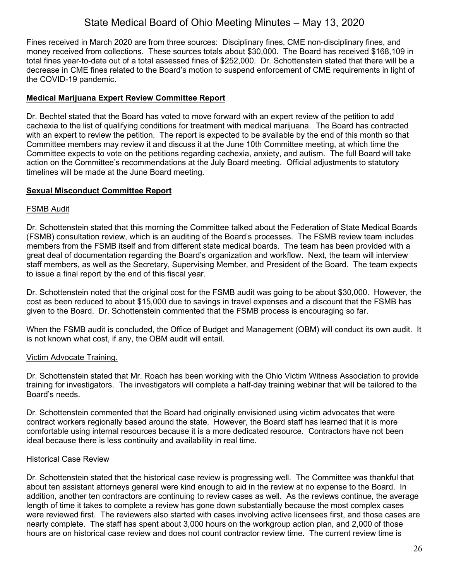Fines received in March 2020 are from three sources: Disciplinary fines, CME non-disciplinary fines, and money received from collections. These sources totals about \$30,000. The Board has received \$168,109 in total fines year-to-date out of a total assessed fines of \$252,000. Dr. Schottenstein stated that there will be a decrease in CME fines related to the Board's motion to suspend enforcement of CME requirements in light of the COVID-19 pandemic.

### **Medical Marijuana Expert Review Committee Report**

Dr. Bechtel stated that the Board has voted to move forward with an expert review of the petition to add cachexia to the list of qualifying conditions for treatment with medical marijuana. The Board has contracted with an expert to review the petition. The report is expected to be available by the end of this month so that Committee members may review it and discuss it at the June 10th Committee meeting, at which time the Committee expects to vote on the petitions regarding cachexia, anxiety, and autism. The full Board will take action on the Committee's recommendations at the July Board meeting. Official adjustments to statutory timelines will be made at the June Board meeting.

### **Sexual Misconduct Committee Report**

### FSMB Audit

Dr. Schottenstein stated that this morning the Committee talked about the Federation of State Medical Boards (FSMB) consultation review, which is an auditing of the Board's processes. The FSMB review team includes members from the FSMB itself and from different state medical boards. The team has been provided with a great deal of documentation regarding the Board's organization and workflow. Next, the team will interview staff members, as well as the Secretary, Supervising Member, and President of the Board. The team expects to issue a final report by the end of this fiscal year.

Dr. Schottenstein noted that the original cost for the FSMB audit was going to be about \$30,000. However, the cost as been reduced to about \$15,000 due to savings in travel expenses and a discount that the FSMB has given to the Board. Dr. Schottenstein commented that the FSMB process is encouraging so far.

When the FSMB audit is concluded, the Office of Budget and Management (OBM) will conduct its own audit. It is not known what cost, if any, the OBM audit will entail.

### Victim Advocate Training.

Dr. Schottenstein stated that Mr. Roach has been working with the Ohio Victim Witness Association to provide training for investigators. The investigators will complete a half-day training webinar that will be tailored to the Board's needs.

Dr. Schottenstein commented that the Board had originally envisioned using victim advocates that were contract workers regionally based around the state. However, the Board staff has learned that it is more comfortable using internal resources because it is a more dedicated resource. Contractors have not been ideal because there is less continuity and availability in real time.

### Historical Case Review

Dr. Schottenstein stated that the historical case review is progressing well. The Committee was thankful that about ten assistant attorneys general were kind enough to aid in the review at no expense to the Board. In addition, another ten contractors are continuing to review cases as well. As the reviews continue, the average length of time it takes to complete a review has gone down substantially because the most complex cases were reviewed first. The reviewers also started with cases involving active licensees first, and those cases are nearly complete. The staff has spent about 3,000 hours on the workgroup action plan, and 2,000 of those hours are on historical case review and does not count contractor review time. The current review time is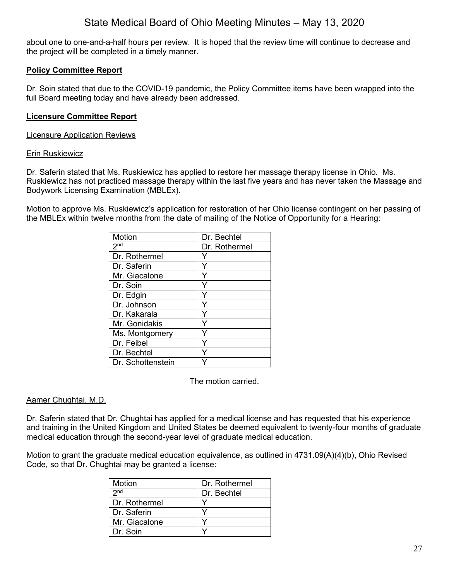about one to one-and-a-half hours per review. It is hoped that the review time will continue to decrease and the project will be completed in a timely manner.

### **Policy Committee Report**

Dr. Soin stated that due to the COVID-19 pandemic, the Policy Committee items have been wrapped into the full Board meeting today and have already been addressed.

### **Licensure Committee Report**

#### Licensure Application Reviews

#### Erin Ruskiewicz

Dr. Saferin stated that Ms. Ruskiewicz has applied to restore her massage therapy license in Ohio. Ms. Ruskiewicz has not practiced massage therapy within the last five years and has never taken the Massage and Bodywork Licensing Examination (MBLEx).

Motion to approve Ms. Ruskiewicz's application for restoration of her Ohio license contingent on her passing of the MBLEx within twelve months from the date of mailing of the Notice of Opportunity for a Hearing:

| <b>Motion</b>     | Dr. Bechtel   |
|-------------------|---------------|
| 2 <sub>nd</sub>   | Dr. Rothermel |
| Dr. Rothermel     |               |
| Dr. Saferin       | Y             |
| Mr. Giacalone     | Υ             |
| Dr. Soin          |               |
| Dr. Edgin         | Υ             |
| Dr. Johnson       |               |
| Dr. Kakarala      |               |
| Mr. Gonidakis     | Y             |
| Ms. Montgomery    |               |
| Dr. Feibel        | Y             |
| Dr. Bechtel       |               |
| Dr. Schottenstein |               |

The motion carried.

### Aamer Chughtai, M.D.

Dr. Saferin stated that Dr. Chughtai has applied for a medical license and has requested that his experience and training in the United Kingdom and United States be deemed equivalent to twenty-four months of graduate medical education through the second-year level of graduate medical education.

Motion to grant the graduate medical education equivalence, as outlined in 4731.09(A)(4)(b), Ohio Revised Code, so that Dr. Chughtai may be granted a license:

| Motion          | Dr. Rothermel |
|-----------------|---------------|
| 2 <sub>nd</sub> | Dr. Bechtel   |
| Dr. Rothermel   |               |
| Dr. Saferin     |               |
| Mr. Giacalone   |               |
| Dr. Soin        |               |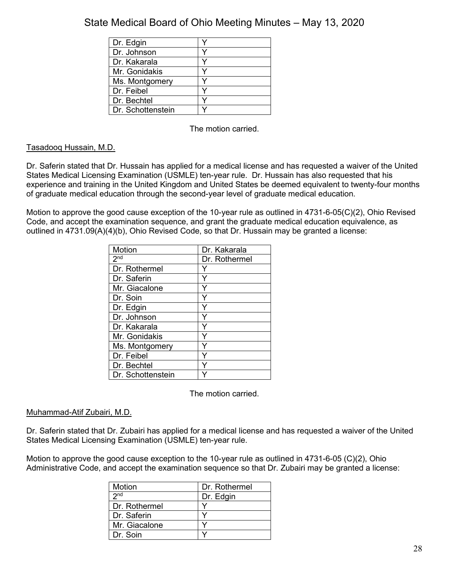| Dr. Edgin         |  |
|-------------------|--|
| Dr. Johnson       |  |
| Dr. Kakarala      |  |
| Mr. Gonidakis     |  |
| Ms. Montgomery    |  |
| Dr. Feibel        |  |
| Dr. Bechtel       |  |
| Dr. Schottenstein |  |

The motion carried.

### Tasadooq Hussain, M.D.

Dr. Saferin stated that Dr. Hussain has applied for a medical license and has requested a waiver of the United States Medical Licensing Examination (USMLE) ten-year rule. Dr. Hussain has also requested that his experience and training in the United Kingdom and United States be deemed equivalent to twenty-four months of graduate medical education through the second-year level of graduate medical education.

Motion to approve the good cause exception of the 10-year rule as outlined in 4731-6-05(C)(2), Ohio Revised Code, and accept the examination sequence, and grant the graduate medical education equivalence, as outlined in 4731.09(A)(4)(b), Ohio Revised Code, so that Dr. Hussain may be granted a license:

| Motion            | Dr. Kakarala  |
|-------------------|---------------|
| 2 <sub>nd</sub>   | Dr. Rothermel |
| Dr. Rothermel     |               |
| Dr. Saferin       | Y             |
| Mr. Giacalone     | Y             |
| Dr. Soin          | Y             |
| Dr. Edgin         | Y             |
| Dr. Johnson       | Ý             |
| Dr. Kakarala      | Y             |
| Mr. Gonidakis     | Y             |
| Ms. Montgomery    |               |
| Dr. Feibel        | Y             |
| Dr. Bechtel       |               |
| Dr. Schottenstein |               |

The motion carried.

### Muhammad-Atif Zubairi, M.D.

Dr. Saferin stated that Dr. Zubairi has applied for a medical license and has requested a waiver of the United States Medical Licensing Examination (USMLE) ten-year rule.

Motion to approve the good cause exception to the 10-year rule as outlined in 4731-6-05 (C)(2), Ohio Administrative Code, and accept the examination sequence so that Dr. Zubairi may be granted a license:

| Motion          | Dr. Rothermel |
|-----------------|---------------|
| 2 <sub>nd</sub> | Dr. Edgin     |
| Dr. Rothermel   |               |
| Dr. Saferin     |               |
| Mr. Giacalone   |               |
| Dr. Soin        |               |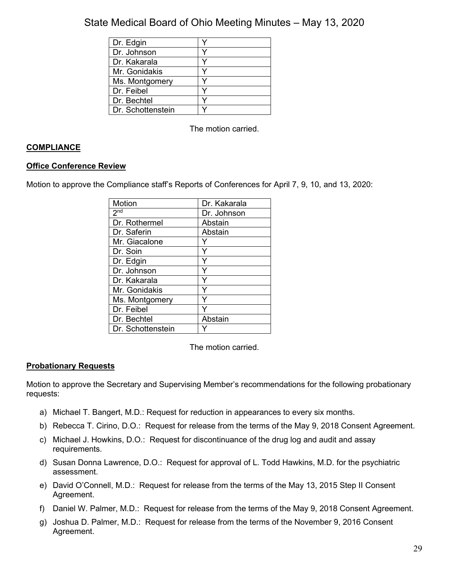| Dr. Edgin         |  |
|-------------------|--|
| Dr. Johnson       |  |
| Dr. Kakarala      |  |
| Mr. Gonidakis     |  |
| Ms. Montgomery    |  |
| Dr. Feibel        |  |
| Dr. Bechtel       |  |
| Dr. Schottenstein |  |

The motion carried.

### **COMPLIANCE**

### **Office Conference Review**

Motion to approve the Compliance staff's Reports of Conferences for April 7, 9, 10, and 13, 2020:

| Motion            | Dr. Kakarala |
|-------------------|--------------|
| 2 <sub>nd</sub>   | Dr. Johnson  |
| Dr. Rothermel     | Abstain      |
| Dr. Saferin       | Abstain      |
| Mr. Giacalone     |              |
| Dr. Soin          |              |
| Dr. Edgin         |              |
| Dr. Johnson       |              |
| Dr. Kakarala      |              |
| Mr. Gonidakis     |              |
| Ms. Montgomery    |              |
| Dr. Feibel        |              |
| Dr. Bechtel       | Abstain      |
| Dr. Schottenstein |              |

The motion carried.

### **Probationary Requests**

Motion to approve the Secretary and Supervising Member's recommendations for the following probationary requests:

- a) Michael T. Bangert, M.D.: Request for reduction in appearances to every six months.
- b) Rebecca T. Cirino, D.O.: Request for release from the terms of the May 9, 2018 Consent Agreement.
- c) Michael J. Howkins, D.O.: Request for discontinuance of the drug log and audit and assay requirements.
- d) Susan Donna Lawrence, D.O.: Request for approval of L. Todd Hawkins, M.D. for the psychiatric assessment.
- e) David O'Connell, M.D.: Request for release from the terms of the May 13, 2015 Step II Consent Agreement.
- f) Daniel W. Palmer, M.D.: Request for release from the terms of the May 9, 2018 Consent Agreement.
- g) Joshua D. Palmer, M.D.: Request for release from the terms of the November 9, 2016 Consent Agreement.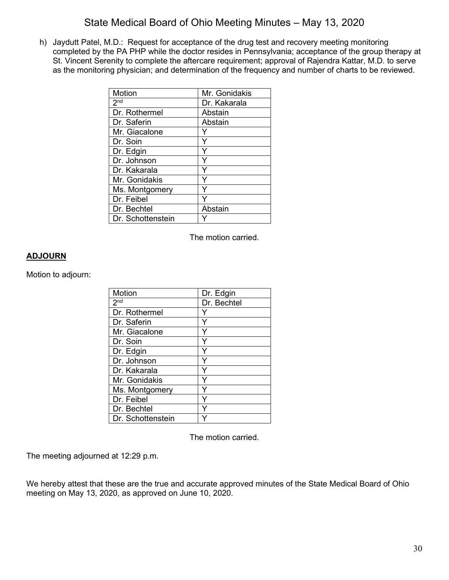h) Jaydutt Patel, M.D.: Request for acceptance of the drug test and recovery meeting monitoring completed by the PA PHP while the doctor resides in Pennsylvania; acceptance of the group therapy at St. Vincent Serenity to complete the aftercare requirement; approval of Rajendra Kattar, M.D. to serve as the monitoring physician; and determination of the frequency and number of charts to be reviewed.

| Motion            | Mr. Gonidakis |
|-------------------|---------------|
| 2 <sup>nd</sup>   | Dr. Kakarala  |
| Dr. Rothermel     | Abstain       |
| Dr. Saferin       | Abstain       |
| Mr. Giacalone     |               |
| Dr. Soin          |               |
| Dr. Edgin         |               |
| Dr. Johnson       | Υ             |
| Dr. Kakarala      |               |
| Mr. Gonidakis     |               |
| Ms. Montgomery    |               |
| Dr. Feibel        |               |
| Dr. Bechtel       | Abstain       |
| Dr. Schottenstein |               |

The motion carried.

### **ADJOURN**

Motion to adjourn:

| Motion            | Dr. Edgin   |
|-------------------|-------------|
| 2 <sup>nd</sup>   | Dr. Bechtel |
| Dr. Rothermel     |             |
| Dr. Saferin       | Y           |
| Mr. Giacalone     | Y           |
| Dr. Soin          | Y           |
| Dr. Edgin         | Ý           |
| Dr. Johnson       | Y           |
| Dr. Kakarala      | Υ           |
| Mr. Gonidakis     | Y           |
| Ms. Montgomery    |             |
| Dr. Feibel        |             |
| Dr. Bechtel       |             |
| Dr. Schottenstein |             |

The motion carried.

The meeting adjourned at 12:29 p.m.

We hereby attest that these are the true and accurate approved minutes of the State Medical Board of Ohio meeting on May 13, 2020, as approved on June 10, 2020.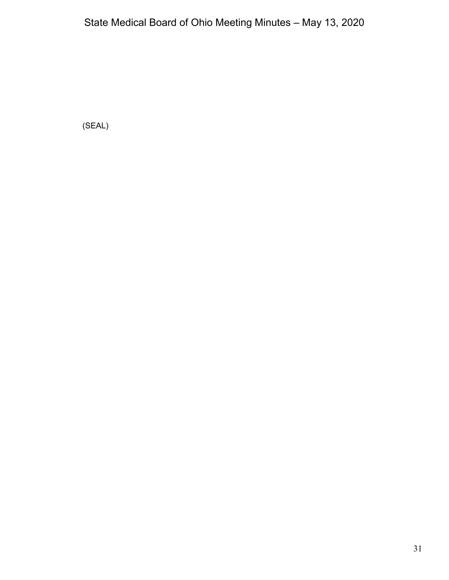(SEAL)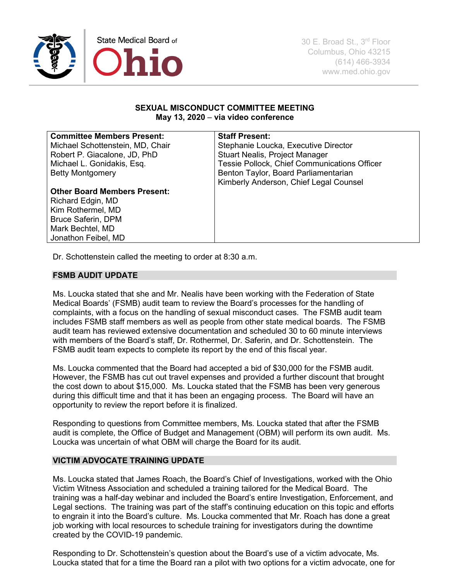

30 E. Broad St., 3rd Floor Columbus, Ohio 43215 (614) 466-3934 www.med.ohio.gov

#### **SEXUAL MISCONDUCT COMMITTEE MEETING May 13, 2020** – **via video conference**

#### **Committee Members Present:**

Michael Schottenstein, MD, Chair Robert P. Giacalone, JD, PhD Michael L. Gonidakis, Esq. Betty Montgomery

#### **Staff Present:**

Stephanie Loucka, Executive Director Stuart Nealis, Project Manager Tessie Pollock, Chief Communications Officer Benton Taylor, Board Parliamentarian Kimberly Anderson, Chief Legal Counsel

#### **Other Board Members Present:**

Richard Edgin, MD Kim Rothermel, MD Bruce Saferin, DPM Mark Bechtel, MD Jonathon Feibel, MD

Dr. Schottenstein called the meeting to order at 8:30 a.m.

#### **FSMB AUDIT UPDATE**

Ms. Loucka stated that she and Mr. Nealis have been working with the Federation of State Medical Boards' (FSMB) audit team to review the Board's processes for the handling of complaints, with a focus on the handling of sexual misconduct cases. The FSMB audit team includes FSMB staff members as well as people from other state medical boards. The FSMB audit team has reviewed extensive documentation and scheduled 30 to 60 minute interviews with members of the Board's staff, Dr. Rothermel, Dr. Saferin, and Dr. Schottenstein. The FSMB audit team expects to complete its report by the end of this fiscal year.

Ms. Loucka commented that the Board had accepted a bid of \$30,000 for the FSMB audit. However, the FSMB has cut out travel expenses and provided a further discount that brought the cost down to about \$15,000. Ms. Loucka stated that the FSMB has been very generous during this difficult time and that it has been an engaging process. The Board will have an opportunity to review the report before it is finalized.

Responding to questions from Committee members, Ms. Loucka stated that after the FSMB audit is complete, the Office of Budget and Management (OBM) will perform its own audit. Ms. Loucka was uncertain of what OBM will charge the Board for its audit.

### **VICTIM ADVOCATE TRAINING UPDATE**

Ms. Loucka stated that James Roach, the Board's Chief of Investigations, worked with the Ohio Victim Witness Association and scheduled a training tailored for the Medical Board. The training was a half-day webinar and included the Board's entire Investigation, Enforcement, and Legal sections. The training was part of the staff's continuing education on this topic and efforts to engrain it into the Board's culture. Ms. Loucka commented that Mr. Roach has done a great job working with local resources to schedule training for investigators during the downtime created by the COVID-19 pandemic.

Responding to Dr. Schottenstein's question about the Board's use of a victim advocate, Ms. Loucka stated that for a time the Board ran a pilot with two options for a victim advocate, one for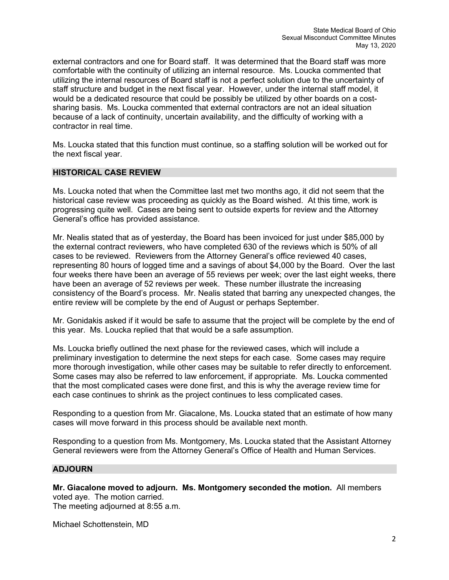external contractors and one for Board staff. It was determined that the Board staff was more comfortable with the continuity of utilizing an internal resource. Ms. Loucka commented that utilizing the internal resources of Board staff is not a perfect solution due to the uncertainty of staff structure and budget in the next fiscal year. However, under the internal staff model, it would be a dedicated resource that could be possibly be utilized by other boards on a costsharing basis. Ms. Loucka commented that external contractors are not an ideal situation because of a lack of continuity, uncertain availability, and the difficulty of working with a contractor in real time.

Ms. Loucka stated that this function must continue, so a staffing solution will be worked out for the next fiscal year.

#### **HISTORICAL CASE REVIEW**

Ms. Loucka noted that when the Committee last met two months ago, it did not seem that the historical case review was proceeding as quickly as the Board wished. At this time, work is progressing quite well. Cases are being sent to outside experts for review and the Attorney General's office has provided assistance.

Mr. Nealis stated that as of yesterday, the Board has been invoiced for just under \$85,000 by the external contract reviewers, who have completed 630 of the reviews which is 50% of all cases to be reviewed. Reviewers from the Attorney General's office reviewed 40 cases, representing 80 hours of logged time and a savings of about \$4,000 by the Board. Over the last four weeks there have been an average of 55 reviews per week; over the last eight weeks, there have been an average of 52 reviews per week. These number illustrate the increasing consistency of the Board's process. Mr. Nealis stated that barring any unexpected changes, the entire review will be complete by the end of August or perhaps September.

Mr. Gonidakis asked if it would be safe to assume that the project will be complete by the end of this year. Ms. Loucka replied that that would be a safe assumption.

Ms. Loucka briefly outlined the next phase for the reviewed cases, which will include a preliminary investigation to determine the next steps for each case. Some cases may require more thorough investigation, while other cases may be suitable to refer directly to enforcement. Some cases may also be referred to law enforcement, if appropriate. Ms. Loucka commented that the most complicated cases were done first, and this is why the average review time for each case continues to shrink as the project continues to less complicated cases.

Responding to a question from Mr. Giacalone, Ms. Loucka stated that an estimate of how many cases will move forward in this process should be available next month.

Responding to a question from Ms. Montgomery, Ms. Loucka stated that the Assistant Attorney General reviewers were from the Attorney General's Office of Health and Human Services.

#### **ADJOURN**

**Mr. Giacalone moved to adjourn. Ms. Montgomery seconded the motion.** All members voted aye. The motion carried. The meeting adjourned at 8:55 a.m.

Michael Schottenstein, MD